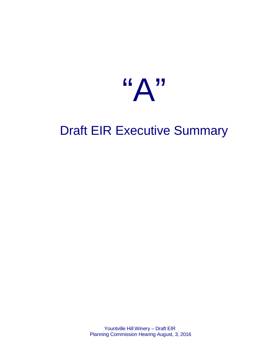

# Draft EIR Executive Summary

Yountville Hill Winery – Draft EIR Planning Commission Hearing August, 3, 2016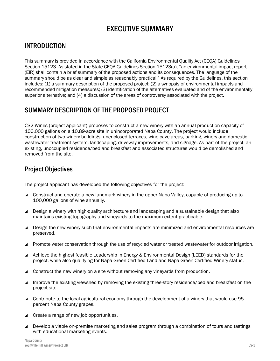# EXECUTIVE SUMMARY

## INTRODUCTION

This summary is provided in accordance with the California Environmental Quality Act (CEQA) Guidelines Section 15123. As stated in the State CEQA Guidelines Section 15123(a), "an environmental impact report (EIR) shall contain a brief summary of the proposed actions and its consequences. The language of the summary should be as clear and simple as reasonably practical." As required by the Guidelines, this section includes: (1) a summary description of the proposed project; (2) a synopsis of environmental impacts and recommended mitigation measures; (3) identification of the alternatives evaluated and of the environmentally superior alternative; and (4) a discussion of the areas of controversy associated with the project.

## SUMMARY DESCRIPTION OF THE PROPOSED PROJECT

CS2 Wines (project applicant) proposes to construct a new winery with an annual production capacity of 100,000 gallons on a 10.89-acre site in unincorporated Napa County. The project would include construction of two winery buildings, unenclosed terraces, wine cave areas, parking, winery and domestic wastewater treatment system, landscaping, driveway improvements, and signage. As part of the project, an existing, unoccupied residence/bed and breakfast and associated structures would be demolished and removed from the site.

## Project Objectives

The project applicant has developed the following objectives for the project:

- Construct and operate a new landmark winery in the upper Napa Valley, capable of producing up to 100,000 gallons of wine annually.
- Design a winery with high-quality architecture and landscaping and a sustainable design that also maintains existing topography and vineyards to the maximum extent practicable.
- Design the new winery such that environmental impacts are minimized and environmental resources are preserved.
- Promote water conservation through the use of recycled water or treated wastewater for outdoor irrigation.
- Achieve the highest feasible Leadership in Energy & Environmental Design (LEED) standards for the project, while also qualifying for Napa Green Certified Land and Napa Green Certified Winery status.
- ▲ Construct the new winery on a site without removing any vineyards from production.
- Improve the existing viewshed by removing the existing three-story residence/bed and breakfast on the project site.
- Contribute to the local agricultural economy through the development of a winery that would use 95 percent Napa County grapes.
- ▲ Create a range of new job opportunities.
- Develop a viable on-premise marketing and sales program through a combination of tours and tastings with educational marketing events.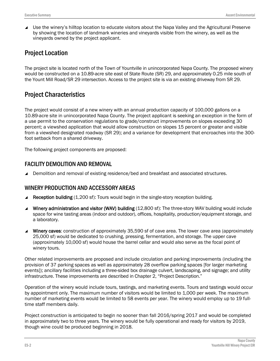Use the winery's hilltop location to educate visitors about the Napa Valley and the Agricultural Preserve by showing the location of landmark wineries and vineyards visible from the winery, as well as the vineyards owned by the project applicant.

## Project Location

The project site is located north of the Town of Yountville in unincorporated Napa County. The proposed winery would be constructed on a 10.89-acre site east of State Route (SR) 29, and approximately 0.25 mile south of the Yount Mill Road/SR 29 intersection. Access to the project site is via an existing driveway from SR 29.

## Project Characteristics

The project would consist of a new winery with an annual production capacity of 100,000 gallons on a 10.89-acre site in unincorporated Napa County. The project applicant is seeking an exception in the form of a use permit to the conservation regulations to grade/construct improvements on slopes exceeding 30 percent; a viewshed application that would allow construction on slopes 15 percent or greater and visible from a viewshed designated roadway (SR 29); and a variance for development that encroaches into the 300 foot setback from a shared driveway.

The following project components are proposed:

#### FACILITY DEMOLITION AND REMOVAL

**■** Demolition and removal of existing residence/bed and breakfast and associated structures.

#### WINERY PRODUCTION AND ACCESSORY AREAS

- Reception building (1,200 sf): Tours would begin in the single-story reception building.
- Winery administration and visitor (WAV) building (12,800 sf): The three-story WAV building would include space for wine tasting areas (indoor and outdoor), offices, hospitality, production/equipment storage, and a laboratory.
- Winery caves: construction of approximately 35,590 sf of cave area. The lower cave area (approximately 25,000 sf) would be dedicated to crushing, pressing, fermentation, and storage. The upper cave (approximately 10,000 sf) would house the barrel cellar and would also serve as the focal point of winery tours.

Other related improvements are proposed and include circulation and parking improvements (including the provision of 37 parking spaces as well as approximately 28 overflow parking spaces [for larger marketing events]); ancillary facilities including a three-sided box drainage culvert, landscaping, and signage; and utility infrastructure. These improvements are described in Chapter 2, "Project Description."

Operation of the winery would include tours, tastings, and marketing events. Tours and tastings would occur by appointment only. The maximum number of visitors would be limited to 1,000 per week. The maximum number of marketing events would be limited to 58 events per year. The winery would employ up to 19 fulltime staff members daily.

Project construction is anticipated to begin no sooner than fall 2016/spring 2017 and would be completed in approximately two to three years. The winery would be fully operational and ready for visitors by 2019, though wine could be produced beginning in 2018.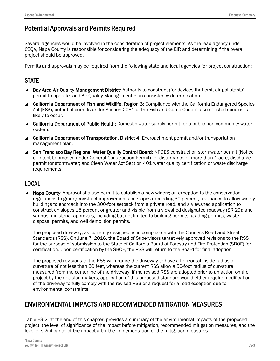# Potential Approvals and Permits Required

Several agencies would be involved in the consideration of project elements. As the lead agency under CEQA, Napa County is responsible for considering the adequacy of the EIR and determining if the overall project should be approved.

Permits and approvals may be required from the following state and local agencies for project construction:

#### **STATE**

- Bay Area Air Quality Management District: Authority to construct (for devices that emit air pollutants); permit to operate; and Air Quality Management Plan consistency determination.
- ▲ California Department of Fish and Wildlife, Region 3: Compliance with the California Endangered Species Act (ESA); potential permits under Section 2081 of the Fish and Game Code if take of listed species is likely to occur.
- California Department of Public Health: Domestic water supply permit for a public non-community water system.
- ▲ California Department of Transportation, District 4: Encroachment permit and/or transportation management plan.
- ▲ San Francisco Bay Regional Water Quality Control Board: NPDES construction stormwater permit (Notice of Intent to proceed under General Construction Permit) for disturbance of more than 1 acre; discharge permit for stormwater; and Clean Water Act Section 401 water quality certification or waste discharge requirements.

#### LOCAL

▲ Napa County: Approval of a use permit to establish a new winery; an exception to the conservation regulations to grade/construct improvements on slopes exceeding 30 percent, a variance to allow winery buildings to encroach into the 300-foot setback from a private road, and a viewshed application to construct on slopes 15 percent or greater and visible from a viewshed designated roadway (SR 29); and various ministerial approvals, including but not limited to building permits, grading permits, waste disposal permits, and well demolition permits.

The proposed driveway, as currently designed, is in compliance with the County's Road and Street Standards (RSS). On June 7, 2016, the Board of Supervisors tentatively approved revisions to the RSS for the purpose of submission to the State of California Board of Forestry and Fire Protection (SBOF) for certification. Upon certification by the SBOF, the RSS will return to the Board for final adoption.

The proposed revisions to the RSS will require the driveway to have a horizontal inside radius of curvature of not less than 50 feet, whereas the current RSS allow a 50-foot radius of curvature measured from the centerline of the driveway. If the revised RSS are adopted prior to an action on the project by the decision makers, application of this proposed standard would either require modification of the driveway to fully comply with the revised RSS or a request for a road exception due to environmental constraints.

# ENVIRONMENTAL IMPACTS AND RECOMMENDED MITIGATION MEASURES

Table ES-2, at the end of this chapter, provides a summary of the environmental impacts of the proposed project, the level of significance of the impact before mitigation, recommended mitigation measures, and the level of significance of the impact after the implementation of the mitigation measures.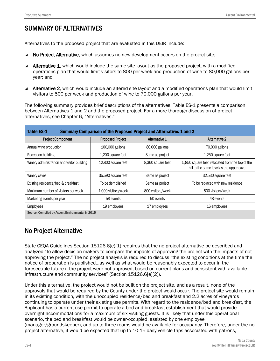# SUMMARY OF ALTERNATIVES

Alternatives to the proposed project that are evaluated in this DEIR include:

- ▲ No Project Alternative, which assumes no new development occurs on the project site;
- Alternative 1, which would include the same site layout as the proposed project, with a modified operations plan that would limit visitors to 800 per week and production of wine to 80,000 gallons per year; and
- Alternative 2, which would include an altered site layout and a modified operations plan that would limit visitors to 500 per week and production of wine to 70,000 gallons per year.

The following summary provides brief descriptions of the alternatives. Table ES-1 presents a comparison between Alternatives 1 and 2 and the proposed project. For a more thorough discussion of project alternatives, see Chapter 6, "Alternatives."

| <b>Table ES-1</b>                                | <b>Summary Comparison of the Proposed Project and Alternatives 1 and 2</b> |                      |                                                                                              |
|--------------------------------------------------|----------------------------------------------------------------------------|----------------------|----------------------------------------------------------------------------------------------|
| <b>Project Component</b>                         | <b>Proposed Project</b>                                                    | <b>Alternative 1</b> | <b>Alternative 2</b>                                                                         |
| Annual wine production                           | 100,000 gallons                                                            | 80,000 gallons       | 70,000 gallons                                                                               |
| Reception building                               | 1,200 square feet                                                          | Same as project      | 1,250 square feet                                                                            |
| Winery administration and visitor building       | 12,800 square feet                                                         | 8,360 square feet    | 5,850 square feet; relocated from the top of the<br>hill to the same level as the upper cave |
| Winery caves                                     | 35,590 square feet                                                         | Same as project      | 32,530 square feet                                                                           |
| Existing residence/bed & breakfast               | To be demolished                                                           | Same as project      | To be replaced with new residence                                                            |
| Maximum number of visitors per week              | 1,000 visitors/week                                                        | 800 visitors/week    | 500 visitors/week                                                                            |
| Marketing events per year                        | 58 events                                                                  | 50 events            | 48 events                                                                                    |
| <b>Employees</b>                                 | 19 employees                                                               | 17 employees         | 16 employees                                                                                 |
| Source: Compiled by Ascent Environmental in 2015 |                                                                            |                      |                                                                                              |

## No Project Alternative

State CEQA Guidelines Section 15126.6(e)(1) requires that the no project alternative be described and analyzed "to allow decision makers to compare the impacts of approving the project with the impacts of not approving the project." The no project analysis is required to discuss "the existing conditions at the time the notice of preparation is published…as well as what would be reasonably expected to occur in the foreseeable future if the project were not approved, based on current plans and consistent with available infrastructure and community services" (Section 15126.6[e][2]).

Under this alternative, the project would not be built on the project site, and as a result, none of the approvals that would be required by the County under the project would occur. The project site would remain in its existing condition, with the unoccupied residence/bed and breakfast and 2.2 acres of vineyards continuing to operate under their existing use permits. With regard to the residence/bed and breakfast, the Applicant has a current use permit to operate a bed and breakfast establishment that would provide overnight accommodations for a maximum of six visiting guests. It is likely that under this operational scenario, the bed and breakfast would be owner-occupied, assisted by one employee (manager/groundskeeper), and up to three rooms would be available for occupancy. Therefore, under the no project alternative, it would be expected that up to 10-15 daily vehicle trips associated with patrons,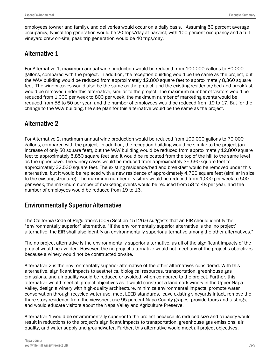employees (owner and family), and deliveries would occur on a daily basis. Assuming 50 percent average occupancy, typical trip generation would be 20 trips/day at harvest; with 100 percent occupancy and a full vineyard crew on-site, peak trip generation would be 40 trips/day.

# Alternative 1

For Alternative 1, maximum annual wine production would be reduced from 100,000 gallons to 80,000 gallons, compared with the project. In addition, the reception building would be the same as the project, but the WAV building would be reduced from approximately 12,800 square feet to approximately 8,360 square feet. The winery caves would also be the same as the project, and the existing residence/bed and breakfast would be removed under this alternative, similar to the project. The maximum number of visitors would be reduced from 1,000 per week to 800 per week, the maximum number of marketing events would be reduced from 58 to 50 per year, and the number of employees would be reduced from 19 to 17. But for the change to the WAV building, the site plan for this alternative would be the same as the project.

# Alternative 2

For Alternative 2, maximum annual wine production would be reduced from 100,000 gallons to 70,000 gallons, compared with the project. In addition, the reception building would be similar to the project (an increase of only 50 square feet), but the WAV building would be reduced from approximately 12,800 square feet to approximately 5,850 square feet and it would be relocated from the top of the hill to the same level as the upper cave. The winery caves would be reduced from approximately 35,590 square feet to approximately 32,530 square feet. The existing residence/bed and breakfast would be removed under this alternative, but it would be replaced with a new residence of approximately 4,700 square feet (similar in size to the existing structure). The maximum number of visitors would be reduced from 1,000 per week to 500 per week, the maximum number of marketing events would be reduced from 58 to 48 per year, and the number of employees would be reduced from 19 to 16.

# Environmentally Superior Alternative

The California Code of Regulations (CCR) Section 15126.6 suggests that an EIR should identify the "environmentally superior" alternative. "If the environmentally superior alternative is the 'no project' alternative, the EIR shall also identify an environmentally superior alternative among the other alternatives."

The no project alternative is the environmentally superior alternative, as all of the significant impacts of the project would be avoided. However, the no project alternative would not meet any of the project's objectives because a winery would not be constructed on-site.

Alternative 2 is the environmentally superior alternative of the other alternatives considered. With this alternative, significant impacts to aesthetics, biological resources, transportation, greenhouse gas emissions, and air quality would be reduced or avoided, when compared to the project. Further, this alternative would meet all project objectives as it would construct a landmark winery in the Upper Napa Valley, design a winery with high-quality architecture, minimize environmental impacts, promote water conservation through recycled water use, meet LEED standards, leave existing vineyards intact, remove the three-story residence from the viewshed, use 95 percent Napa County grapes, provide tours and tastings, and would educate visitors about the Napa Valley and Agriculture Preserve.

Alternative 1 would be environmentally superior to the project because its reduced size and capacity would result in reductions to the project's significant impacts to transportation, greenhouse gas emissions, air quality, and water supply and groundwater. Further, this alternative would meet all project objectives.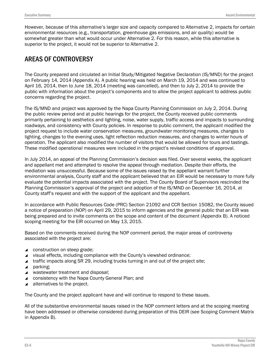However, because of this alternative's larger size and capacity compared to Alternative 2, impacts for certain environmental resources (e.g., transportation, greenhouse gas emissions, and air quality) would be somewhat greater than what would occur under Alternative 2. For this reason, while this alternative is superior to the project, it would not be superior to Alternative 2.

## AREAS OF CONTROVERSY

The County prepared and circulated an Initial Study/Mitigated Negative Declaration (IS/MND) for the project on February 14, 2014 (Appendix A). A public hearing was held on March 19, 2014 and was continued to April 16, 2014, then to June 18, 2014 (meeting was cancelled), and then to July 2, 2014 to provide the public with information about the project's components and to allow the project applicant to address public concerns regarding the project.

The IS/MND and project was approved by the Napa County Planning Commission on July 2, 2014. During the public review period and at public hearings for the project, the County received public comments primarily pertaining to aesthetics and lighting, noise, water supply, traffic access and impacts to surrounding roadways, and consistency with County policies. In response to public comment, the applicant modified the project request to include water conservation measures, groundwater monitoring measures, changes to lighting, changes to the evening uses, light reflection reduction measures, and changes to winter hours of operation. The applicant also modified the number of visitors that would be allowed for tours and tastings. These modified operational measures were included in the project's revised conditions of approval.

In July 2014, an appeal of the Planning Commission's decision was filed. Over several weeks, the applicant and appellant met and attempted to resolve the appeal through mediation. Despite their efforts, the mediation was unsuccessful. Because some of the issues raised by the appellant warrant further environmental analysis, County staff and the applicant believed that an EIR would be necessary to more fully evaluate the potential impacts associated with the project. The County Board of Supervisors rescinded the Planning Commission's approval of the project and adoption of the IS/MND on December 16, 2014, at County staff's request and with the support of the applicant and the appellant.

In accordance with Public Resources Code (PRC) Section 21092 and CCR Section 15082, the County issued a notice of preparation (NOP) on April 29, 2015 to inform agencies and the general public that an EIR was being prepared and to invite comments on the scope and content of the document (Appendix B). A noticed scoping meeting for the EIR occurred on May 13, 2015.

Based on the comments received during the NOP comment period, the major areas of controversy associated with the project are:

- ▲ construction on steep grade;
- ▲ visual effects, including compliance with the County's viewshed ordinance;
- **traffic impacts along SR 29, including trucks turning in and out of the project site;**
- $\blacktriangle$  parking:
- ▲ wastewater treatment and disposal;
- ▲ consistency with the Napa County General Plan; and
- $\blacktriangle$  alternatives to the project.

The County and the project applicant have and will continue to respond to these issues.

All of the substantive environmental issues raised in the NOP comment letters and at the scoping meeting have been addressed or otherwise considered during preparation of this DEIR (see Scoping Comment Matrix in Appendix B).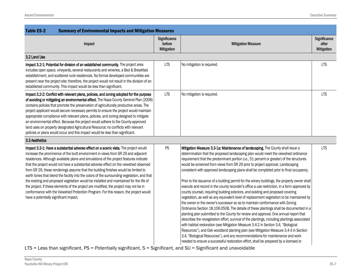| <b>Table ES-2</b><br><b>Summary of Environmental Impacts and Mitigation Measures</b> |                                                                                                                                                                                                                                                                                                                                                                                                                                                                                                                                                                                                                                                                                                                                                                                                                                                                                                                                                                                                                                                                                                                                                                                                                                                                                                                                                                                                                                                                                                                                                            |                                                                                                                                          |  |
|--------------------------------------------------------------------------------------|------------------------------------------------------------------------------------------------------------------------------------------------------------------------------------------------------------------------------------------------------------------------------------------------------------------------------------------------------------------------------------------------------------------------------------------------------------------------------------------------------------------------------------------------------------------------------------------------------------------------------------------------------------------------------------------------------------------------------------------------------------------------------------------------------------------------------------------------------------------------------------------------------------------------------------------------------------------------------------------------------------------------------------------------------------------------------------------------------------------------------------------------------------------------------------------------------------------------------------------------------------------------------------------------------------------------------------------------------------------------------------------------------------------------------------------------------------------------------------------------------------------------------------------------------------|------------------------------------------------------------------------------------------------------------------------------------------|--|
| Significance<br>before<br><b>Mitigation</b>                                          | <b>Mitigation Measure</b>                                                                                                                                                                                                                                                                                                                                                                                                                                                                                                                                                                                                                                                                                                                                                                                                                                                                                                                                                                                                                                                                                                                                                                                                                                                                                                                                                                                                                                                                                                                                  | Significance<br>after<br>Mitigation                                                                                                      |  |
|                                                                                      |                                                                                                                                                                                                                                                                                                                                                                                                                                                                                                                                                                                                                                                                                                                                                                                                                                                                                                                                                                                                                                                                                                                                                                                                                                                                                                                                                                                                                                                                                                                                                            |                                                                                                                                          |  |
| <b>LTS</b>                                                                           | No mitigation is required.                                                                                                                                                                                                                                                                                                                                                                                                                                                                                                                                                                                                                                                                                                                                                                                                                                                                                                                                                                                                                                                                                                                                                                                                                                                                                                                                                                                                                                                                                                                                 | <b>LTS</b>                                                                                                                               |  |
| <b>LTS</b>                                                                           | No mitigation is required.                                                                                                                                                                                                                                                                                                                                                                                                                                                                                                                                                                                                                                                                                                                                                                                                                                                                                                                                                                                                                                                                                                                                                                                                                                                                                                                                                                                                                                                                                                                                 | <b>LTS</b>                                                                                                                               |  |
|                                                                                      |                                                                                                                                                                                                                                                                                                                                                                                                                                                                                                                                                                                                                                                                                                                                                                                                                                                                                                                                                                                                                                                                                                                                                                                                                                                                                                                                                                                                                                                                                                                                                            |                                                                                                                                          |  |
| PS                                                                                   | Mitigation Measure 3.3-1a: Maintenance of landscaping. The County shall issue a<br>determination that the proposed landscaping plan would meet the viewshed ordinance<br>requirement that the predominant portion (i.e., 51 percent or greater) of the structures<br>would be screened from views from SR 29 prior to project approval. Landscaping<br>consistent with approved landscaping plans shall be completed prior to final occupancy.<br>Prior to the issuance of a building permit for the winery buildings, the property owner shall<br>execute and record in the county recorder's office a use restriction, in a form approved by<br>county counsel, requiring building exteriors, and existing and proposed covering<br>vegetation, as well as any equivalent level of replacement vegetation to be maintained by<br>the owner or the owner's successor so as to maintain conformance with Zoning<br>Ordinance Section 18.106.050B. The details of these plantings shall be documented in a<br>planting plan submitted to the County for review and approval. One annual report that<br>describes the revegetation effort, survival of the plantings, including plantings associated<br>with habitat restoration (see Mitigation Measure 3.4-2 in Section 3.4, "Biological<br>Resources"), and Oak woodland planting plan (see Mitigation Measure 3.4-3 in Section<br>3.4, "Biological Resources"), and any recommendations for maintenance and work<br>needed to ensure a successful restoration effort, shall be prepared by a licensed or | <b>LTS</b>                                                                                                                               |  |
|                                                                                      |                                                                                                                                                                                                                                                                                                                                                                                                                                                                                                                                                                                                                                                                                                                                                                                                                                                                                                                                                                                                                                                                                                                                                                                                                                                                                                                                                                                                                                                                                                                                                            | $\overline{C}$ = Loss than significant $DC$ = Dotantially significant $C$ = Significant and $\overline{C}$ = Significant and unavoidable |  |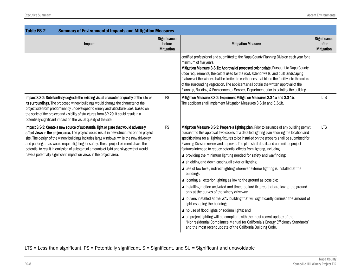| <b>Table ES-2</b><br><b>Summary of Environmental Impacts and Mitigation Measures</b>                                                                                                                                                                                                                                                                                                                                                                                                                                                    |                                             |                                                                                                                                                                                                                                                                                                                                                                                                                                                                                                                                                                                                                                                                                                                                                                                                                                                                                                                                                                                                                                                                                                                                                                                                                                                                                                                        |                                            |
|-----------------------------------------------------------------------------------------------------------------------------------------------------------------------------------------------------------------------------------------------------------------------------------------------------------------------------------------------------------------------------------------------------------------------------------------------------------------------------------------------------------------------------------------|---------------------------------------------|------------------------------------------------------------------------------------------------------------------------------------------------------------------------------------------------------------------------------------------------------------------------------------------------------------------------------------------------------------------------------------------------------------------------------------------------------------------------------------------------------------------------------------------------------------------------------------------------------------------------------------------------------------------------------------------------------------------------------------------------------------------------------------------------------------------------------------------------------------------------------------------------------------------------------------------------------------------------------------------------------------------------------------------------------------------------------------------------------------------------------------------------------------------------------------------------------------------------------------------------------------------------------------------------------------------------|--------------------------------------------|
| Impact                                                                                                                                                                                                                                                                                                                                                                                                                                                                                                                                  | Significance<br>before<br><b>Mitigation</b> | <b>Mitigation Measure</b>                                                                                                                                                                                                                                                                                                                                                                                                                                                                                                                                                                                                                                                                                                                                                                                                                                                                                                                                                                                                                                                                                                                                                                                                                                                                                              | Significance<br>after<br><b>Mitigation</b> |
|                                                                                                                                                                                                                                                                                                                                                                                                                                                                                                                                         |                                             | certified professional and submitted to the Napa County Planning Division each year for a<br>minimum of five years.<br>Mitigation Measure 3.3-1b: Approval of proposed color palate. Pursuant to Napa County<br>Code requirements, the colors used for the roof, exterior walls, and built landscaping<br>features of the winery shall be limited to earth tones that blend the facility into the colors<br>of the surrounding vegetation. The applicant shall obtain the written approval of the<br>Planning, Building, & Environmental Services Department prior to painting the building.                                                                                                                                                                                                                                                                                                                                                                                                                                                                                                                                                                                                                                                                                                                           |                                            |
| Impact 3.3-2: Substantially degrade the existing visual character or quality of the site or<br>its surroundings. The proposed winery buildings would change the character of the<br>project site from predominantly undeveloped to winery and viticulture uses. Based on<br>the scale of the project and visibility of structures from SR 29, it could result in a<br>potentially significant impact on the visual quality of the site.                                                                                                 | PS                                          | Mitigation Measure 3.3-2: Implement Mitigation Measures 3.3-1a and 3.3-1b.<br>The applicant shall implement Mitigation Measures 3.3-1a and 3.3-1b.                                                                                                                                                                                                                                                                                                                                                                                                                                                                                                                                                                                                                                                                                                                                                                                                                                                                                                                                                                                                                                                                                                                                                                     | <b>LTS</b>                                 |
| Impact 3.3-3: Create a new source of substantial light or glare that would adversely<br>affect views in the project area. The project would result in new structures on the project<br>site. The design of the winery buildings includes large windows, while the new driveway<br>and parking areas would require lighting for safety. These project elements have the<br>potential to result in emission of substantial amounts of light and skyglow that would<br>have a potentially significant impact on views in the project area. | PS                                          | Mitigation Measure 3.3-3: Prepare a lighting plan. Prior to issuance of any building permit<br>pursuant to this approval, two copies of a detailed lighting plan showing the location and<br>specifications for all lighting fixtures to be installed on the property shall be submitted for<br>Planning Division review and approval. The plan shall detail, and commit to, project<br>features intended to reduce potential effects from lighting, including:<br>providing the minimum lighting needed for safety and wayfinding;<br>▲ shielding and down casting all exterior lighting;<br>▲ use of low level, indirect lighting wherever exterior lighting is installed at the<br>buildings;<br>▲ locating all exterior lighting as low to the ground as possible;<br>⊿ installing motion-activated and timed bollard fixtures that are low-to-the-ground<br>only at the curves of the winery driveway;<br>▲ louvers installed at the WAV building that will significantly diminish the amount of<br>light escaping the building;<br>▲ no use of flood lights or sodium lights; and<br>all project lighting will be compliant with the most recent update of the<br>"Nonresidential Compliance Manual for California's Energy Efficiency Standards"<br>and the most recent update of the California Building Code. | <b>LTS</b>                                 |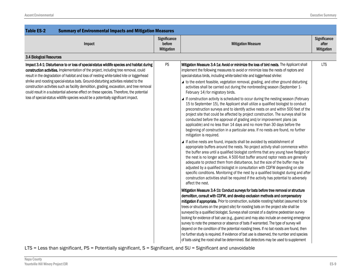| <b>Table ES-2</b><br><b>Summary of Environmental Impacts and Mitigation Measures</b>                                                                                                                                                                                                                                                                                                                                                                                                                                                                                                                                                                   |                                                    |                                                                                                                                                                                                                                                                                                                                                                                                                                                                                                                                                                                                                                                                                                                                                                                                                                                                                                                                                                                                                                                                                                                                                                                                                                                                                                                                                                                                                                                                                                                                                                                                                                                                                                                                                                                                                                                                                                                                                                                                                                                                                                                                                                                                                                                                                                                                                                                                                                                                                                                                                                                                                                                                                                                                                       |                                            |
|--------------------------------------------------------------------------------------------------------------------------------------------------------------------------------------------------------------------------------------------------------------------------------------------------------------------------------------------------------------------------------------------------------------------------------------------------------------------------------------------------------------------------------------------------------------------------------------------------------------------------------------------------------|----------------------------------------------------|-------------------------------------------------------------------------------------------------------------------------------------------------------------------------------------------------------------------------------------------------------------------------------------------------------------------------------------------------------------------------------------------------------------------------------------------------------------------------------------------------------------------------------------------------------------------------------------------------------------------------------------------------------------------------------------------------------------------------------------------------------------------------------------------------------------------------------------------------------------------------------------------------------------------------------------------------------------------------------------------------------------------------------------------------------------------------------------------------------------------------------------------------------------------------------------------------------------------------------------------------------------------------------------------------------------------------------------------------------------------------------------------------------------------------------------------------------------------------------------------------------------------------------------------------------------------------------------------------------------------------------------------------------------------------------------------------------------------------------------------------------------------------------------------------------------------------------------------------------------------------------------------------------------------------------------------------------------------------------------------------------------------------------------------------------------------------------------------------------------------------------------------------------------------------------------------------------------------------------------------------------------------------------------------------------------------------------------------------------------------------------------------------------------------------------------------------------------------------------------------------------------------------------------------------------------------------------------------------------------------------------------------------------------------------------------------------------------------------------------------------------|--------------------------------------------|
| Impact                                                                                                                                                                                                                                                                                                                                                                                                                                                                                                                                                                                                                                                 | <b>Significance</b><br>before<br><b>Mitigation</b> | <b>Mitigation Measure</b>                                                                                                                                                                                                                                                                                                                                                                                                                                                                                                                                                                                                                                                                                                                                                                                                                                                                                                                                                                                                                                                                                                                                                                                                                                                                                                                                                                                                                                                                                                                                                                                                                                                                                                                                                                                                                                                                                                                                                                                                                                                                                                                                                                                                                                                                                                                                                                                                                                                                                                                                                                                                                                                                                                                             | Significance<br>after<br><b>Mitigation</b> |
| 3.4 Biological Resources                                                                                                                                                                                                                                                                                                                                                                                                                                                                                                                                                                                                                               |                                                    |                                                                                                                                                                                                                                                                                                                                                                                                                                                                                                                                                                                                                                                                                                                                                                                                                                                                                                                                                                                                                                                                                                                                                                                                                                                                                                                                                                                                                                                                                                                                                                                                                                                                                                                                                                                                                                                                                                                                                                                                                                                                                                                                                                                                                                                                                                                                                                                                                                                                                                                                                                                                                                                                                                                                                       |                                            |
| Impact 3.4-1: Disturbance to or loss of special-status wildlife species and habitat during<br>construction activities. Implementation of the project, including tree removal, could<br>result in the degradation of habitat and loss of nesting white-tailed kite or loggerhead<br>shrike and roosting special-status bats. Ground-disturbing activities related to the<br>construction activities such as facility demolition, grading, excavation, and tree removal<br>could result in a substantial adverse effect on these species. Therefore, the potential<br>loss of special-status wildlife species would be a potentially significant impact. | PS                                                 | Mitigation Measure 3.4-1a: Avoid or minimize the loss of bird nests. The Applicant shall<br>implement the following measures to avoid or minimize loss the nests of raptors and<br>special-status birds, including white-tailed kite and loggerhead shrike:<br>▲ to the extent feasible, vegetation removal, grading, and other ground disturbing<br>activities shall be carried out during the nonbreeding season (September 1-<br>February 14) for migratory birds.<br>▲ If construction activity is scheduled to occur during the nesting season (February<br>15 to September 15), the Applicant shall utilize a qualified biologist to conduct<br>preconstruction surveys and to identify active nests on and within 500 feet of the<br>project site that could be affected by project construction. The surveys shall be<br>conducted before the approval of grading and/or improvement plans (as<br>applicable) and no less than 14 days and no more than 30 days before the<br>beginning of construction in a particular area. If no nests are found, no further<br>mitigation is required.<br>▲ If active nests are found, impacts shall be avoided by establishment of<br>appropriate buffers around the nests. No project activity shall commence within<br>the buffer area until a qualified biologist confirms that any young have fledged or<br>the nest is no longer active. A 500-foot buffer around raptor nests are generally<br>adequate to protect them from disturbance, but the size of the buffer may be<br>adjusted by a qualified biologist in consultation with CDFW depending on site<br>specific conditions. Monitoring of the nest by a qualified biologist during and after<br>construction activities shall be required if the activity has potential to adversely<br>affect the nest.<br>Mitigation Measure 3.4-1b: Conduct surveys for bats before tree removal or structure<br>demolition, consult with CDFW, and develop exclusion methods and compensatory<br>mitigation if appropriate. Prior to construction, suitable roosting habitat (assumed to be<br>trees or structures on the project site) for roosting bats on the project site shall be<br>surveyed by a qualified biologist. Surveys shall consist of a daytime pedestrian survey<br>looking for evidence of bat use (e.g., guano) and may also include an evening emergence<br>survey to note the presence or absence of bats if warranted. The type of survey will<br>depend on the condition of the potential roosting trees. If no bat roosts are found, then<br>no further study is required. If evidence of bat use is observed, the number and species<br>of bats using the roost shall be determined. Bat detectors may be used to supplement | <b>LTS</b>                                 |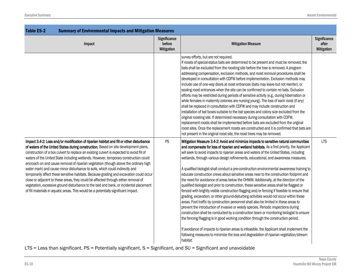| <b>Table ES-2</b><br><b>Summary of Environmental Impacts and Mitigation Measures</b>                                                                                                                                                                                                                                                                                                                                                                                                                                                                                                                                                                                                                                                                                                                                                                                                                           |                                             |                                                                                                                                                                                                                                                                                                                                                                                                                                                                                                                                                                                                                                                                                                                                                                                                                                                                                                                                                                                                                                                                                                                                                                                                                                                                                                                                                                                                                                                                                                                     |                                            |
|----------------------------------------------------------------------------------------------------------------------------------------------------------------------------------------------------------------------------------------------------------------------------------------------------------------------------------------------------------------------------------------------------------------------------------------------------------------------------------------------------------------------------------------------------------------------------------------------------------------------------------------------------------------------------------------------------------------------------------------------------------------------------------------------------------------------------------------------------------------------------------------------------------------|---------------------------------------------|---------------------------------------------------------------------------------------------------------------------------------------------------------------------------------------------------------------------------------------------------------------------------------------------------------------------------------------------------------------------------------------------------------------------------------------------------------------------------------------------------------------------------------------------------------------------------------------------------------------------------------------------------------------------------------------------------------------------------------------------------------------------------------------------------------------------------------------------------------------------------------------------------------------------------------------------------------------------------------------------------------------------------------------------------------------------------------------------------------------------------------------------------------------------------------------------------------------------------------------------------------------------------------------------------------------------------------------------------------------------------------------------------------------------------------------------------------------------------------------------------------------------|--------------------------------------------|
| Impact                                                                                                                                                                                                                                                                                                                                                                                                                                                                                                                                                                                                                                                                                                                                                                                                                                                                                                         | Significance<br>before<br><b>Mitigation</b> | <b>Mitigation Measure</b>                                                                                                                                                                                                                                                                                                                                                                                                                                                                                                                                                                                                                                                                                                                                                                                                                                                                                                                                                                                                                                                                                                                                                                                                                                                                                                                                                                                                                                                                                           | Significance<br>after<br><b>Mitigation</b> |
|                                                                                                                                                                                                                                                                                                                                                                                                                                                                                                                                                                                                                                                                                                                                                                                                                                                                                                                |                                             | survey efforts, but are not required.<br>If roosts of special-status bats are determined to be present and must be removed, the<br>bats shall be excluded from the roosting site before the tree is removed. A program<br>addressing compensation, exclusion methods, and roost removal procedures shall be<br>developed in consultation with CDFW before implementation. Exclusion methods may<br>include use of one-way doors at roost entrances (bats may leave but not reenter), or<br>sealing roost entrances when the site can be confirmed to contain no bats. Exclusion<br>efforts may be restricted during periods of sensitive activity (e.g., during hibernation or<br>while females in maternity colonies are nursing young). The loss of each roost (if any)<br>shall be replaced in consultation with CDFW and may include construction and<br>installation of bat boxes suitable to the bat species and colony size excluded from the<br>original roosting site. If determined necessary during consultation with CDFW,<br>replacement roosts shall be implemented before bats are excluded from the original<br>roost sites. Once the replacement roosts are constructed and it is confirmed that bats are<br>not present in the original roost site, the roost trees may be removed.                                                                                                                                                                                                               |                                            |
| Impact 3.4-2: Loss and/or modification of riparian habitat and fill or other disturbance<br>of waters of the United States during construction. Based on site development plans,<br>construction of a box culvert to replace an existing culvert is expected to avoid fill of<br>waters of the United State including wetlands. However, temporary construction could<br>encroach on and cause removal of riparian vegetation (though above the ordinary high<br>water mark) and cause minor disturbance to soils, which could indirectly and<br>temporarily affect these sensitive habitats. Because grading and excavation could occur<br>close or adjacent to these areas, they could be affected through either removal of<br>vegetation, excessive ground disturbance to the bed and bank, or incidental placement<br>of fill materials in aquatic areas. This would be a potentially significant impact. | PS                                          | Mitigation Measure 3.4-2: Avoid and minimize impacts to sensitive natural communities<br>and compensate for loss of riparian and wetland habitats. As a first priority, the Applicant<br>will seek to avoid impacts to riparian areas and waters of the United States, including<br>wetlands, through various design refinements, educational, and awareness measures.<br>A qualified biologist shall conduct a pre-construction environmental awareness training to<br>educate construction crews about sensitive areas near to the construction footprint and<br>the need for avoidance of areas below the OHWM. Additionally, at the direction of the<br>qualified biologist and prior to construction, these sensitive areas shall be flagged or<br>fenced with brightly visible construction flagging and/or fencing if feasible to ensure that<br>grading, excavation, or other ground-disturbing activities would not occur within these<br>areas. Foot traffic by construction personnel shall also be limited in these areas to<br>prevent the introduction of invasive or weedy species. Periodic inspections during<br>construction shall be conducted by a construction team or monitoring biologist to ensure<br>the fencing/flagging is in good working condition through the construction period.<br>If avoidance of impacts to riparian areas is infeasible, the Applicant shall implement the<br>following measures to minimize the loss and degradation of riparian vegetation/stream<br>habitat: | <b>LTS</b>                                 |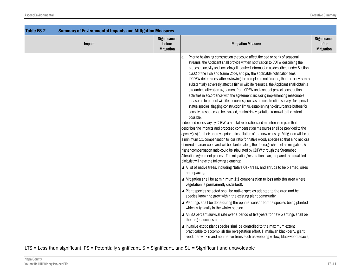| <b>Table ES-2</b><br><b>Summary of Environmental Impacts and Mitigation Measures</b> |                                             |                                                                                                                                                                                                                                                                                                                                                                                                                                                                                                                                                                                                                                                                                                                                                                                                                                                                                                                                                                                                                                                                                                                                                                                                                                                                                                                                                                                                                                                                                                                                                                                                                                                                                                                                                                                                                                                                                                                                                                                                                                                                                                                                                                                                                                                                                                                                                                                                                                                                                                                                                                         |                                            |
|--------------------------------------------------------------------------------------|---------------------------------------------|-------------------------------------------------------------------------------------------------------------------------------------------------------------------------------------------------------------------------------------------------------------------------------------------------------------------------------------------------------------------------------------------------------------------------------------------------------------------------------------------------------------------------------------------------------------------------------------------------------------------------------------------------------------------------------------------------------------------------------------------------------------------------------------------------------------------------------------------------------------------------------------------------------------------------------------------------------------------------------------------------------------------------------------------------------------------------------------------------------------------------------------------------------------------------------------------------------------------------------------------------------------------------------------------------------------------------------------------------------------------------------------------------------------------------------------------------------------------------------------------------------------------------------------------------------------------------------------------------------------------------------------------------------------------------------------------------------------------------------------------------------------------------------------------------------------------------------------------------------------------------------------------------------------------------------------------------------------------------------------------------------------------------------------------------------------------------------------------------------------------------------------------------------------------------------------------------------------------------------------------------------------------------------------------------------------------------------------------------------------------------------------------------------------------------------------------------------------------------------------------------------------------------------------------------------------------------|--------------------------------------------|
| Impact                                                                               | Significance<br>before<br><b>Mitigation</b> | <b>Mitigation Measure</b>                                                                                                                                                                                                                                                                                                                                                                                                                                                                                                                                                                                                                                                                                                                                                                                                                                                                                                                                                                                                                                                                                                                                                                                                                                                                                                                                                                                                                                                                                                                                                                                                                                                                                                                                                                                                                                                                                                                                                                                                                                                                                                                                                                                                                                                                                                                                                                                                                                                                                                                                               | Significance<br>after<br><b>Mitigation</b> |
|                                                                                      |                                             | Prior to beginning construction that could affect the bed or bank of seasonal<br>a.<br>streams, the Applicant shall provide written notification to CDFW describing the<br>proposed activity and including all required information as described under Section<br>1602 of the Fish and Game Code, and pay the applicable notification fees.<br>If CDFW determines, after reviewing the completed notification, that the activity may<br>b.<br>substantially adversely affect a fish or wildlife resource, the Applicant shall obtain a<br>streambed alteration agreement from CDFW and conduct project construction<br>activities in accordance with the agreement, including implementing reasonable<br>measures to protect wildlife resources, such as preconstruction surveys for special-<br>status species, flagging construction limits, establishing no-disturbance buffers for<br>sensitive resources to be avoided, minimizing vegetation removal to the extent<br>possible.<br>If deemed necessary by CDFW, a habitat restoration and maintenance plan that<br>describes the impacts and proposed compensation measures shall be provided to the<br>agency(ies) for their approval prior to installation of the new crossing. Mitigation will be at<br>a minimum 1:1 compensation to loss ratio for native woody species so that a no net loss<br>of mixed riparian woodland will be planted along the drainage channel as mitigation. A<br>higher compensation ratio could be stipulated by CDFW through the Streambed<br>Alteration Agreement process. The mitigation/restoration plan, prepared by a qualified<br>biologist will have the following elements:<br>▲ A list of native trees, including Native Oak trees, and shrubs to be planted, sizes<br>and spacing.<br>▲ Mitigation shall be at minimum 1:1 compensation to loss ratio (for area where<br>vegetation is permanently disturbed).<br>▲ Plant species selected shall be native species adapted to the area and be<br>species known to grow within the existing plant community.<br>▲ Plantings shall be done during the optimal season for the species being planted<br>which is typically in the winter season.<br>▲ An 80 percent survival rate over a period of five years for new plantings shall be<br>the target success criteria.<br>▲ Invasive exotic plant species shall be controlled to the maximum extent<br>practicable to accomplish the revegetation effort. Himalayan blackberry, giant<br>reed, periwinkle and non-native trees such as weeping willow, blackwood acacia, |                                            |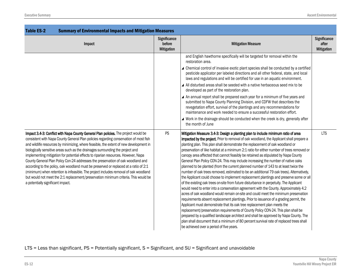| <b>Table ES-2</b><br><b>Summary of Environmental Impacts and Mitigation Measures</b>                                                                                                                                                                                                                                                                                                                                                                                                                                                                                                                                                                                                                                                                                                                                                            |                                             |                                                                                                                                                                                                                                                                                                                                                                                                                                                                                                                                                                                                                                                                                                                                                                                                                                                                                                                                                                                                                                                                                                                                                                                                                                                                                                                                                                                                                                                                                                                                                                                     |                                            |
|-------------------------------------------------------------------------------------------------------------------------------------------------------------------------------------------------------------------------------------------------------------------------------------------------------------------------------------------------------------------------------------------------------------------------------------------------------------------------------------------------------------------------------------------------------------------------------------------------------------------------------------------------------------------------------------------------------------------------------------------------------------------------------------------------------------------------------------------------|---------------------------------------------|-------------------------------------------------------------------------------------------------------------------------------------------------------------------------------------------------------------------------------------------------------------------------------------------------------------------------------------------------------------------------------------------------------------------------------------------------------------------------------------------------------------------------------------------------------------------------------------------------------------------------------------------------------------------------------------------------------------------------------------------------------------------------------------------------------------------------------------------------------------------------------------------------------------------------------------------------------------------------------------------------------------------------------------------------------------------------------------------------------------------------------------------------------------------------------------------------------------------------------------------------------------------------------------------------------------------------------------------------------------------------------------------------------------------------------------------------------------------------------------------------------------------------------------------------------------------------------------|--------------------------------------------|
| Impact                                                                                                                                                                                                                                                                                                                                                                                                                                                                                                                                                                                                                                                                                                                                                                                                                                          | Significance<br>before<br><b>Mitigation</b> | <b>Mitigation Measure</b>                                                                                                                                                                                                                                                                                                                                                                                                                                                                                                                                                                                                                                                                                                                                                                                                                                                                                                                                                                                                                                                                                                                                                                                                                                                                                                                                                                                                                                                                                                                                                           | Significance<br>after<br><b>Mitigation</b> |
|                                                                                                                                                                                                                                                                                                                                                                                                                                                                                                                                                                                                                                                                                                                                                                                                                                                 |                                             | and English hawthorne specifically will be targeted for removal within the<br>restoration area.<br>▲ Chemical control of invasive exotic plant species shall be conducted by a certified<br>pesticide applicator per labeled directions and all other federal, state, and local<br>laws and regulations and will be certified for use in an aquatic environment.<br>▲ All disturbed areas shall be seeded with a native herbaceous seed mix to be<br>developed as part of the restoration plan.<br>▲ An annual report shall be prepared each year for a minimum of five years and<br>submitted to Napa County Planning Division, and CDFW that describes the<br>revegetation effort, survival of the plantings and any recommendations for<br>maintenance and work needed to ensure a successful restoration effort.<br>▲ Work in the drainage should be conducted when the creek is dry, generally after<br>the month of June                                                                                                                                                                                                                                                                                                                                                                                                                                                                                                                                                                                                                                                      |                                            |
| Impact 3.4-3: Conflict with Napa County General Plan policies. The project would be<br>consistent with Napa County General Plan policies regarding conservation of most fish<br>and wildlife resources by minimizing, where feasible, the extent of new development in<br>biologically sensitive areas such as the drainages surrounding the project and<br>implementing mitigation for potential effects to riparian resources. However, Napa<br>County General Plan Policy Con-24 addresses the preservation of oak woodland and<br>according to the policy, oak woodland must be preserved or replaced at a ratio of 2:1<br>(minimum) when retention is infeasible. The project includes removal of oak woodland<br>but would not meet the 2:1 replacement/preservation minimum criteria. This would be<br>a potentially significant impact. | <b>PS</b>                                   | Mitigation Measure 3.4-3: Design a planting plan to include minimum ratio of area<br>impacted by the project. Prior to removal of oak woodland, the Applicant shall prepare a<br>planting plan. This plan shall demonstrate the replacement of oak woodland or<br>preservation of like habitat at a minimum 2:1 ratio for either number of trees removed or<br>canopy area affected that cannot feasibly be retained as stipulated by Napa County<br>General Plan Policy CON-24. This may include increasing the number of native oaks<br>planned to be planted (from the current planned number of 143 to at least twice the<br>number of oak trees removed, estimated to be an additional 79 oak trees). Alternatively,<br>the Applicant could choose to implement replacement plantings and preserve some or all<br>of the existing oak trees on-site from future disturbance in perpetuity. The Applicant<br>would need to enter into a conservation agreement with the County. Approximately 4.2<br>acres of oak woodland would remain on-site and could meet the minimum preservation<br>requirements absent replacement plantings. Prior to issuance of a grading permit, the<br>Applicant must demonstrate that its oak tree replacement plan meets the<br>replacement/preservation requirements of County Policy CON-24. This plan shall be<br>prepared by a qualified landscape architect and shall be approved by Napa County. The<br>plan shall document that a minimum of 80 percent survival rate of replaced trees shall<br>be achieved over a period of five years. | <b>LTS</b>                                 |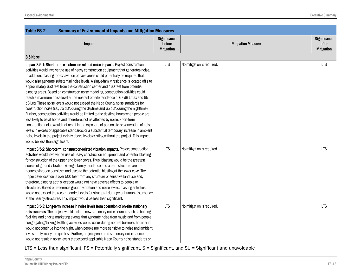| <b>Table ES-2</b><br><b>Summary of Environmental Impacts and Mitigation Measures</b>                                                                                                                                                                                                                                                                                                                                                                                                                                                                                                                                                                                                                                                                                                                                                                                                                                                                                                                                                                                                                                                                                                                                                                                                                                   |                                             |                            |                                            |
|------------------------------------------------------------------------------------------------------------------------------------------------------------------------------------------------------------------------------------------------------------------------------------------------------------------------------------------------------------------------------------------------------------------------------------------------------------------------------------------------------------------------------------------------------------------------------------------------------------------------------------------------------------------------------------------------------------------------------------------------------------------------------------------------------------------------------------------------------------------------------------------------------------------------------------------------------------------------------------------------------------------------------------------------------------------------------------------------------------------------------------------------------------------------------------------------------------------------------------------------------------------------------------------------------------------------|---------------------------------------------|----------------------------|--------------------------------------------|
| Impact                                                                                                                                                                                                                                                                                                                                                                                                                                                                                                                                                                                                                                                                                                                                                                                                                                                                                                                                                                                                                                                                                                                                                                                                                                                                                                                 | Significance<br>before<br><b>Mitigation</b> | <b>Mitigation Measure</b>  | Significance<br>after<br><b>Mitigation</b> |
| 3.5 Noise                                                                                                                                                                                                                                                                                                                                                                                                                                                                                                                                                                                                                                                                                                                                                                                                                                                                                                                                                                                                                                                                                                                                                                                                                                                                                                              |                                             |                            |                                            |
| Impact 3.5-1: Short-term, construction-related noise impacts. Project construction<br>activities would involve the use of heavy construction equipment that generates noise.<br>In addition, blasting for excavation of cave areas could potentially be required that<br>would also generate substantial noise levels. A single-family residence is located off site<br>approximately 650 feet from the construction center and 460 feet from potential<br>blasting areas. Based on construction noise modeling, construction activities could<br>reach a maximum noise level at the nearest off-site residence of 67 dB Lmax and 65<br>dB Leq. These noise levels would not exceed the Napa County noise standards for<br>construction noise (i.e., 75 dBA during the daytime and 65 dBA during the nighttime).<br>Further, construction activities would be limited to the daytime hours when people are<br>less likely to be at home and, therefore, not as affected by noise. Short-term<br>construction noise would not result in the exposure of persons to or generation of noise<br>levels in excess of applicable standards, or a substantial temporary increase in ambient<br>noise levels in the project vicinity above levels existing without the project. This impact<br>would be less than significant. | <b>LTS</b>                                  | No mitigation is required. | <b>LTS</b>                                 |
| Impact 3.5-2: Short-term, construction-related vibration impacts. Project construction<br>activities would involve the use of heavy construction equipment and potential blasting<br>for construction of the upper and lower caves. Thus, blasting would be the greatest<br>source of ground vibration. A single-family residence and a barn structure are the<br>nearest vibration-sensitive land uses to the potential blasting at the lower cave. The<br>upper cave location is over 500 feet from any structure or sensitive land use and,<br>therefore, blasting at this location would not have adverse effects to people or<br>structures. Based on reference ground vibration and noise levels, blasting activities<br>would not exceed the recommended levels for structural damage or human disturbance<br>at the nearby structures. This impact would be less than significant.                                                                                                                                                                                                                                                                                                                                                                                                                             | <b>LTS</b>                                  | No mitigation is required. | <b>LTS</b>                                 |
| Impact 3.5-3: Long-term increase in noise levels from operation of on-site stationary<br>noise sources. The project would include new stationary noise sources such as bottling<br>facilities and on-site marketing events that generate noise from music and from people<br>congregating/talking. Bottling activities would occur during normal business hours and<br>would not continue into the night, when people are more sensitive to noise and ambient<br>levels are typically the quietest. Further, project-generated stationary noise sources<br>would not result in noise levels that exceed applicable Napa County noise standards or                                                                                                                                                                                                                                                                                                                                                                                                                                                                                                                                                                                                                                                                      | <b>LTS</b>                                  | No mitigation is required. | <b>LTS</b>                                 |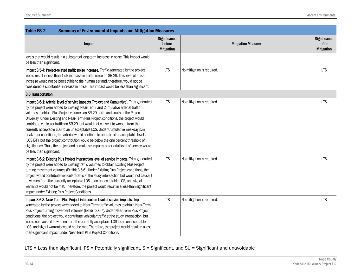| <b>Table ES-2</b><br><b>Summary of Environmental Impacts and Mitigation Measures</b>                                                                                                                                                                                                                                                                                                                                                                                                                                                                                                                                                                                                                                                                                                                                                |                                             |                            |                                            |
|-------------------------------------------------------------------------------------------------------------------------------------------------------------------------------------------------------------------------------------------------------------------------------------------------------------------------------------------------------------------------------------------------------------------------------------------------------------------------------------------------------------------------------------------------------------------------------------------------------------------------------------------------------------------------------------------------------------------------------------------------------------------------------------------------------------------------------------|---------------------------------------------|----------------------------|--------------------------------------------|
| Impact                                                                                                                                                                                                                                                                                                                                                                                                                                                                                                                                                                                                                                                                                                                                                                                                                              | Significance<br>before<br><b>Mitigation</b> | <b>Mitigation Measure</b>  | Significance<br>after<br><b>Mitigation</b> |
| levels that would result in a substantial long-term increase in noise. This impact would<br>be less than significant.                                                                                                                                                                                                                                                                                                                                                                                                                                                                                                                                                                                                                                                                                                               |                                             |                            |                                            |
| Impact 3.5-4: Project-related traffic noise increase. Traffic generated by the project<br>would result in less than 1 dB increase in traffic noise on SR 29. This level of noise<br>increase would not be perceptible to the human ear and, therefore, would not be<br>considered a substantial increase in noise. This impact would be less than significant.                                                                                                                                                                                                                                                                                                                                                                                                                                                                      | <b>LTS</b>                                  | No mitigation is required. | <b>LTS</b>                                 |
| 3.6 Transportation                                                                                                                                                                                                                                                                                                                                                                                                                                                                                                                                                                                                                                                                                                                                                                                                                  |                                             |                            |                                            |
| Impact 3.6-1: Arterial level of service impacts (Project and Cumulative). Trips generated<br>by the project were added to Existing, Near-Term, and Cumulative arterial traffic<br>volumes to obtain Plus Project volumes on SR 29 north and south of the Project<br>Driveway. Under Existing and Near-Term Plus Project conditions, the project would<br>contribute vehicular traffic on SR 29, but would not cause it to worsen from the<br>currently acceptable LOS to an unacceptable LOS. Under Cumulative weekday p.m.<br>peak hour conditions, the arterial would continue to operate at unacceptable levels<br>(LOS E-F), but the project contribution would be below the one percent threshold of<br>significance. Thus, the project and cumulative impacts on arterial level of service would<br>be less than significant. | <b>LTS</b>                                  | No mitigation is required. | <b>LTS</b>                                 |
| Impact 3.6-2: Existing Plus Project intersection level of service impacts. Trips generated<br>by the project were added to Existing traffic volumes to obtain Existing Plus Project<br>turning movement volumes (Exhibit 3.6-6). Under Existing Plus Project conditions, the<br>project would contribute vehicular traffic at the study intersection but would not cause it<br>to worsen from the currently acceptable LOS to an unacceptable LOS, and signal<br>warrants would not be met. Therefore, the project would result in a less-than-significant<br>impact under Existing Plus Project Conditions.                                                                                                                                                                                                                        | <b>LTS</b>                                  | No mitigation is required. | <b>LTS</b>                                 |
| Impact 3.6-3: Near-Term Plus Project intersection level of service impacts. Trips<br>generated by the project were added to Near-Term traffic volumes to obtain Near-Term<br>Plus Project turning movement volumes (Exhibit 3.6-7). Under Near-Term Plus Project<br>conditions, the project would contribute vehicular traffic at the study intersection, but<br>would not cause it to worsen from the currently acceptable LOS to an unacceptable<br>LOS, and signal warrants would not be met. Therefore, the project would result in a less-<br>than-significant impact under Near-Term Plus Project Conditions.                                                                                                                                                                                                                 | <b>LTS</b>                                  | No mitigation is required. | <b>LTS</b>                                 |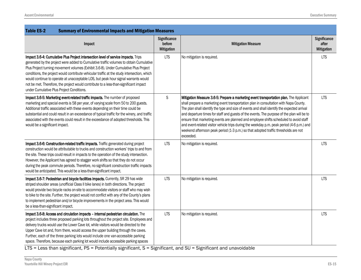| <b>Table ES-2</b><br><b>Summary of Environmental Impacts and Mitigation Measures</b>                                                                                                                                                                                                                                                                                                                                                                                                                                                                                                            |                                             |                                                                                                                                                                                                                                                                                                                                                                                                                                                                                                                                                                                                                                                                         |                                            |
|-------------------------------------------------------------------------------------------------------------------------------------------------------------------------------------------------------------------------------------------------------------------------------------------------------------------------------------------------------------------------------------------------------------------------------------------------------------------------------------------------------------------------------------------------------------------------------------------------|---------------------------------------------|-------------------------------------------------------------------------------------------------------------------------------------------------------------------------------------------------------------------------------------------------------------------------------------------------------------------------------------------------------------------------------------------------------------------------------------------------------------------------------------------------------------------------------------------------------------------------------------------------------------------------------------------------------------------------|--------------------------------------------|
| Impact                                                                                                                                                                                                                                                                                                                                                                                                                                                                                                                                                                                          | Significance<br>before<br><b>Mitigation</b> | <b>Mitigation Measure</b>                                                                                                                                                                                                                                                                                                                                                                                                                                                                                                                                                                                                                                               | Significance<br>after<br><b>Mitigation</b> |
| Impact 3.6-4: Cumulative Plus Project intersection level of service impacts. Trips<br>generated by the project were added to Cumulative traffic volumes to obtain Cumulative<br>Plus Project turning movement volumes (Exhibit 3.6-8). Under Cumulative Plus Project<br>conditions, the project would contribute vehicular traffic at the study intersection, which<br>would continue to operate at unacceptable LOS, but peak hour signal warrants would<br>not be met. Therefore, the project would contribute to a less-than-significant impact<br>under Cumulative Plus Project Conditions. | <b>LTS</b>                                  | No mitigation is required.                                                                                                                                                                                                                                                                                                                                                                                                                                                                                                                                                                                                                                              | <b>LTS</b>                                 |
| Impact 3.6-5: Marketing event-related traffic impacts. The number of proposed<br>marketing and special events is 58 per year, of varying scale from 50 to 200 guests.<br>Additional traffic associated with these events depending on their time could be<br>substantial and could result in an exceedance of typical traffic for the winery, and traffic<br>associated with the events could result in the exceedance of adopted thresholds. This<br>would be a significant impact.                                                                                                            | $\mathsf S$                                 | Mitigation Measure 3.6-5: Prepare a marketing event transportation plan. The Applicant<br>shall prepare a marketing event transportation plan in consultation with Napa County.<br>The plan shall identify the type and size of events and shall identify the expected arrival<br>and departure times for staff and guests of the events. The purpose of the plan will be to<br>ensure that marketing events are planned and employee shifts scheduled to avoid staff<br>and event-related visitor vehicle trips during the weekday p.m. peak period (4-6 p.m.) and<br>weekend afternoon peak period (1-3 p.m.) so that adopted traffic thresholds are not<br>exceeded. | <b>LTS</b>                                 |
| Impact 3.6-6: Construction-related traffic impacts. Traffic generated during project<br>construction would be attributable to trucks and construction workers' trips to and from<br>the site. These trips could result in impacts to the operation of the study intersection.<br>However, the Applicant has agreed to stagger work shifts so that they do not occur<br>during the peak commute periods. Therefore, no significant construction traffic impacts<br>would be anticipated. This would be a less-than-significant impact.                                                           | <b>LTS</b>                                  | No mitigation is required.                                                                                                                                                                                                                                                                                                                                                                                                                                                                                                                                                                                                                                              | <b>LTS</b>                                 |
| Impact 3.6-7: Pedestrian and bicycle facilities impacts. Currently, SR 29 has wide<br>striped shoulder areas (unofficial Class II bike lanes) in both directions. The project<br>would provide two bicycle racks on-site to accommodate visitors or staff who may wish<br>to bike to the site. Further, the project would not conflict with any of the County's plans<br>to implement pedestrian and/or bicycle improvements in the project area. This would<br>be a less-than-significant impact.                                                                                              | <b>LTS</b>                                  | No mitigation is required.                                                                                                                                                                                                                                                                                                                                                                                                                                                                                                                                                                                                                                              | <b>LTS</b>                                 |
| Impact 3.6-8: Access and circulation impacts - internal pedestrian circulation. The<br>project includes three proposed parking lots throughout the project site. Employees and<br>delivery trucks would use the Lower Cave lot, while visitors would be directed to the<br>Upper Cave lot and, from there, would access the upper building through the caves.<br>Further, each of the three parking lots would include one van-accessible parking<br>space. Therefore, because each parking lot would include accessible parking spaces                                                         | <b>LTS</b>                                  | No mitigation is required.                                                                                                                                                                                                                                                                                                                                                                                                                                                                                                                                                                                                                                              | <b>LTS</b>                                 |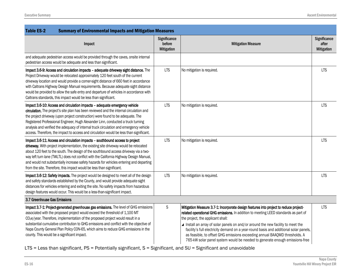| <b>Table ES-2</b><br><b>Summary of Environmental Impacts and Mitigation Measures</b>                                                                                                                                                                                                                                                                                                                                                                                                                                              |                                             |                                                                                                                                                                                                                                                                                                                                                                                                                                                                                                                                                             |                                            |
|-----------------------------------------------------------------------------------------------------------------------------------------------------------------------------------------------------------------------------------------------------------------------------------------------------------------------------------------------------------------------------------------------------------------------------------------------------------------------------------------------------------------------------------|---------------------------------------------|-------------------------------------------------------------------------------------------------------------------------------------------------------------------------------------------------------------------------------------------------------------------------------------------------------------------------------------------------------------------------------------------------------------------------------------------------------------------------------------------------------------------------------------------------------------|--------------------------------------------|
| Impact                                                                                                                                                                                                                                                                                                                                                                                                                                                                                                                            | Significance<br>before<br><b>Mitigation</b> | <b>Mitigation Measure</b>                                                                                                                                                                                                                                                                                                                                                                                                                                                                                                                                   | Significance<br>after<br><b>Mitigation</b> |
| and adequate pedestrian access would be provided through the caves, onsite internal<br>pedestrian access would be adequate and less than significant.                                                                                                                                                                                                                                                                                                                                                                             |                                             |                                                                                                                                                                                                                                                                                                                                                                                                                                                                                                                                                             |                                            |
| Impact 3.6-9: Access and circulation impacts - adequate driveway sight distance. The<br>Project Driveway would be relocated approximately 120 feet south of the current<br>driveway location and would provide a corner-sight distance of 660 feet in accordance<br>with Caltrans Highway Design Manual requirements. Because adequate sight distance<br>would be provided to allow the safe entry and departure of vehicles in accordance with<br>Caltrans standards, this impact would be less than significant.                | <b>LTS</b>                                  | No mitigation is required.                                                                                                                                                                                                                                                                                                                                                                                                                                                                                                                                  | <b>LTS</b>                                 |
| Impact 3.6-10: Access and circulation impacts - adequate emergency vehicle<br>circulation. The project's site plan has been reviewed and the internal circulation and<br>the project driveway (upon project construction) were found to be adequate. The<br>Registered Professional Engineer, Hugh Alexander Linn, conducted a truck turning<br>analysis and verified the adequacy of internal truck circulation and emergency vehicle<br>access. Therefore, the impact to access and circulation would be less than significant. | <b>LTS</b>                                  | No mitigation is required.                                                                                                                                                                                                                                                                                                                                                                                                                                                                                                                                  | <b>LTS</b>                                 |
| Impact 3.6-11: Access and circulation impacts - southbound access to project<br>driveway. With project implementation, the existing site driveway would be relocated<br>about 120 feet to the south. The design of the southbound access driveway via a two-<br>way left turn lane (TWLTL) does not conflict with the California Highway Design Manual,<br>and would not substantially increase safety hazards for vehicles entering and departing<br>from the site. Therefore, this impact would be less than significant.       | <b>LTS</b>                                  | No mitigation is required.                                                                                                                                                                                                                                                                                                                                                                                                                                                                                                                                  | <b>LTS</b>                                 |
| Impact 3.6-12: Safety impacts. The project would be designed to meet all of the design<br>and safety standards established by the County, and would provide adequate sight<br>distances for vehicles entering and exiting the site. No safety impacts from hazardous<br>design features would occur. This would be a less-than-significant impact.                                                                                                                                                                                | <b>LTS</b>                                  | No mitigation is required.                                                                                                                                                                                                                                                                                                                                                                                                                                                                                                                                  | <b>LTS</b>                                 |
| 3.7 Greenhouse Gas Emissions                                                                                                                                                                                                                                                                                                                                                                                                                                                                                                      |                                             |                                                                                                                                                                                                                                                                                                                                                                                                                                                                                                                                                             |                                            |
| Impact 3.7-1: Project-generated greenhouse gas emissions. The level of GHG emissions<br>associated with the proposed project would exceed the threshold of 1,100 MT<br>CO <sub>2</sub> e/year. Therefore, implementation of the proposed project would result in a<br>substantial cumulative contribution to GHG emissions and conflict with the objective of<br>Napa County General Plan Policy CON-65, which aims to reduce GHG emissions in the<br>county. This would be a significant impact.                                 | $\mathsf S$                                 | Mitigation Measure 3.7-1: Incorporate design features into project to reduce project-<br>related operational GHG emissions. In addition to meeting LEED standards as part of<br>the project, the applicant shall:<br>▲ Install an array of solar panels on and/or around the new facility to meet the<br>facility's full electricity demand on a year-round basis and additional solar panels,<br>as feasible, to offset GHG emissions exceeding annual BAAQMD thresholds. A<br>765-kW solar panel system would be needed to generate enough emissions-free | <b>LTS</b>                                 |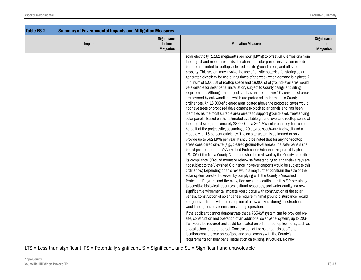| <b>Table ES-2</b> | <b>Summary of Environmental Impacts and Mitigation Measures</b> |                                             |                                                                                                                                                                                                                                                                                                                                                                                                                                                                                                                                                                                                                                                                                                                                                                                                                                                                                                                                                                                                                                                                                                                                                                                                                                                                                                                                                                                                                                                                                                                                                                                                                                                                                                                                                                                                                                                                                                                                                                                                                                                                                                                                                                                                                                                                                                                                                                                                                                                                                                                                                                                                                                                                                                                                                                                                                                                                                                                                                                                                                |                                            |
|-------------------|-----------------------------------------------------------------|---------------------------------------------|----------------------------------------------------------------------------------------------------------------------------------------------------------------------------------------------------------------------------------------------------------------------------------------------------------------------------------------------------------------------------------------------------------------------------------------------------------------------------------------------------------------------------------------------------------------------------------------------------------------------------------------------------------------------------------------------------------------------------------------------------------------------------------------------------------------------------------------------------------------------------------------------------------------------------------------------------------------------------------------------------------------------------------------------------------------------------------------------------------------------------------------------------------------------------------------------------------------------------------------------------------------------------------------------------------------------------------------------------------------------------------------------------------------------------------------------------------------------------------------------------------------------------------------------------------------------------------------------------------------------------------------------------------------------------------------------------------------------------------------------------------------------------------------------------------------------------------------------------------------------------------------------------------------------------------------------------------------------------------------------------------------------------------------------------------------------------------------------------------------------------------------------------------------------------------------------------------------------------------------------------------------------------------------------------------------------------------------------------------------------------------------------------------------------------------------------------------------------------------------------------------------------------------------------------------------------------------------------------------------------------------------------------------------------------------------------------------------------------------------------------------------------------------------------------------------------------------------------------------------------------------------------------------------------------------------------------------------------------------------------------------------|--------------------------------------------|
|                   | Impact                                                          | Significance<br>before<br><b>Mitigation</b> | <b>Mitigation Measure</b>                                                                                                                                                                                                                                                                                                                                                                                                                                                                                                                                                                                                                                                                                                                                                                                                                                                                                                                                                                                                                                                                                                                                                                                                                                                                                                                                                                                                                                                                                                                                                                                                                                                                                                                                                                                                                                                                                                                                                                                                                                                                                                                                                                                                                                                                                                                                                                                                                                                                                                                                                                                                                                                                                                                                                                                                                                                                                                                                                                                      | Significance<br>after<br><b>Mitigation</b> |
|                   |                                                                 |                                             | solar electricity (1,182 megawatts per hour [MWh]) to offset GHG emissions from<br>the project and meet thresholds. Locations for solar panels installation include<br>but are not limited to rooftops, cleared on-site ground areas, and off-site<br>property. This system may involve the use of on-site batteries for storing solar<br>generated electricity for use during times of the week when demand is highest. A<br>minimum of 5,000 sf of rooftop space and 18,000 sf of ground-level area would<br>be available for solar panel installation, subject to County design and siting<br>requirements. Although the project site has an area of over 10 acres, most areas<br>are covered by oak woodland, which are protected under multiple County<br>ordinances. An 18,000-sf cleared area located above the proposed caves would<br>not have trees or proposed development to block solar panels and has been<br>identified as the most suitable area on-site to support ground-level, freestanding<br>solar panels. Based on the estimated available ground-level and rooftop space at<br>the project site (approximately 23,000 sf), a 364-MW solar panel system could<br>be built at the project site, assuming a 20 degree southward facing tilt and a<br>module with 16 percent efficiency. The on-site system is estimated to only<br>provide up to 562 MWh per year. It should be noted that for any non-rooftop<br>areas considered on-site (e.g., cleared ground-level areas), the solar panels shall<br>be subject to the County's Viewshed Protection Ordinance Program (Chapter<br>18.106 of the Napa County Code) and shall be reviewed by the County to confirm<br>its compliance. (Ground mount or otherwise freestanding solar panels/arrays are<br>not subject to the Viewshed Ordinance; however carports would be subject to this<br>ordinance.) Depending on this review, this may further constrain the size of the<br>solar system on-site. However, by complying with the County's Viewshed<br>Protection Program, and the mitigation measures outlined in this EIR pertaining<br>to sensitive biological resources, cultural resources, and water quality, no new<br>significant environmental impacts would occur with construction of the solar<br>panels. Construction of solar panels require minimal ground disturbance, would<br>not generate traffic with the exception of a few workers during construction, and<br>would not generate air emissions during operation.<br>If the applicant cannot demonstrate that a 765-kW system can be provided on-<br>site, construction and operation of an additional solar panel system, up to 203-<br>kW, would be required and could be located on off-site rooftop locations, such as<br>a local school or other parcel. Construction of the solar panels at off-site<br>locations would occur on rooftops and shall comply with the County's<br>requirements for solar panel installation on existing structures. No new |                                            |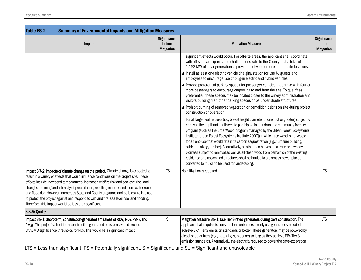| <b>Table ES-2</b><br><b>Summary of Environmental Impacts and Mitigation Measures</b>                                                                                                                                                                                                                                                                                                                                                                                                                                                                                                                                         |                                             |                                                                                                                                                                                                                                                                                                                                                                                                                                                                                                                                                                                                                                                                                                                                                                       |                                            |
|------------------------------------------------------------------------------------------------------------------------------------------------------------------------------------------------------------------------------------------------------------------------------------------------------------------------------------------------------------------------------------------------------------------------------------------------------------------------------------------------------------------------------------------------------------------------------------------------------------------------------|---------------------------------------------|-----------------------------------------------------------------------------------------------------------------------------------------------------------------------------------------------------------------------------------------------------------------------------------------------------------------------------------------------------------------------------------------------------------------------------------------------------------------------------------------------------------------------------------------------------------------------------------------------------------------------------------------------------------------------------------------------------------------------------------------------------------------------|--------------------------------------------|
| Impact                                                                                                                                                                                                                                                                                                                                                                                                                                                                                                                                                                                                                       | Significance<br>before<br><b>Mitigation</b> | <b>Mitigation Measure</b>                                                                                                                                                                                                                                                                                                                                                                                                                                                                                                                                                                                                                                                                                                                                             | Significance<br>after<br><b>Mitigation</b> |
|                                                                                                                                                                                                                                                                                                                                                                                                                                                                                                                                                                                                                              |                                             | significant effects would occur. For off-site areas, the applicant shall coordinate<br>with off-site participants and shall demonstrate to the County that a total of<br>1,182 MW of solar generation is provided between on-site and off-site locations.                                                                                                                                                                                                                                                                                                                                                                                                                                                                                                             |                                            |
|                                                                                                                                                                                                                                                                                                                                                                                                                                                                                                                                                                                                                              |                                             | ▲ Install at least one electric vehicle charging station for use by guests and<br>employees to encourage use of plug-in electric and hybrid vehicles.                                                                                                                                                                                                                                                                                                                                                                                                                                                                                                                                                                                                                 |                                            |
|                                                                                                                                                                                                                                                                                                                                                                                                                                                                                                                                                                                                                              |                                             | ▲ Provide preferential parking spaces for passenger vehicles that arrive with four or<br>more passengers to encourage carpooling to and from the site. To qualify as<br>preferential, these spaces may be located closer to the winery administration and<br>visitors building than other parking spaces or be under shade structures.                                                                                                                                                                                                                                                                                                                                                                                                                                |                                            |
|                                                                                                                                                                                                                                                                                                                                                                                                                                                                                                                                                                                                                              |                                             | Prohibit burning of removed vegetation or demolition debris on site during project<br>construction or operation.                                                                                                                                                                                                                                                                                                                                                                                                                                                                                                                                                                                                                                                      |                                            |
|                                                                                                                                                                                                                                                                                                                                                                                                                                                                                                                                                                                                                              |                                             | For all large healthy trees (i.e., breast height diameter of one foot or greater) subject to<br>removal, the applicant shall seek to participate in an urban and community forestry<br>program (such as the UrbanWood program managed by the Urban Forest Ecosystems<br>Institute [Urban Forest Ecosystems Institute 2007]) in which tree wood is harvested<br>for an end-use that would retain its carbon sequestration (e.g., furniture building,<br>cabinet making, lumber). Alternatively, all other non-harvestable trees and woody<br>biomass subject to removal as well as all clean wood from demolition of the existing<br>residence and associated structures shall be hauled to a biomass power plant or<br>converted to mulch to be used for landscaping. |                                            |
| Impact 3.7-2: Impacts of climate change on the project. Climate change is expected to<br>result in a variety of effects that would influence conditions on the project site. These<br>effects include increased temperatures, increased wildfire risk and sea level rise; and<br>changes to timing and intensity of precipitation, resulting in increased stormwater runoff<br>and flood risk. However, numerous State and County programs and policies are in place<br>to protect the project against and respond to wildland fire, sea level rise, and flooding.<br>Therefore, this impact would be less than significant. | <b>LTS</b>                                  | No mitigation is required.                                                                                                                                                                                                                                                                                                                                                                                                                                                                                                                                                                                                                                                                                                                                            | <b>LTS</b>                                 |
| 3.8 Air Quality                                                                                                                                                                                                                                                                                                                                                                                                                                                                                                                                                                                                              |                                             |                                                                                                                                                                                                                                                                                                                                                                                                                                                                                                                                                                                                                                                                                                                                                                       |                                            |
| Impact 3.8-1: Short-term, construction-generated emissions of ROG, NO <sub>x</sub> , PM <sub>10</sub> , and<br>PM <sub>2.5</sub> . The project's short-term construction-generated emissions would exceed<br>BAAQMD significance thresholds for NO <sub>x</sub> . This would be a significant impact.                                                                                                                                                                                                                                                                                                                        | $\mathsf S$                                 | Mitigation Measure 3.8-1: Use Tier 3-rated generators during cave construction. The<br>applicant shall require its construction contractors to only use generator sets rated to<br>achieve EPA Tier 3 emission standards or better. These generators may be powered by<br>diesel or other fuels (e.g., natural gas, propane) so long as they achieve EPA Tier 3<br>emission standards. Alternatively, the electricity required to power the cave excavation                                                                                                                                                                                                                                                                                                           | <b>LTS</b>                                 |
| LTS = Less than significant, PS = Potentially significant, S = Significant, and SU = Significant and unavoidable                                                                                                                                                                                                                                                                                                                                                                                                                                                                                                             |                                             |                                                                                                                                                                                                                                                                                                                                                                                                                                                                                                                                                                                                                                                                                                                                                                       |                                            |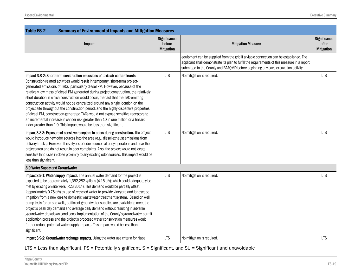| <b>Table ES-2</b><br><b>Summary of Environmental Impacts and Mitigation Measures</b>                                                                                                                                                                                                                                                                                                                                                                                                                                                                                                                                                                                                                                                                                                                                                                                                           |                                             |                                                                                                                                                                                                                                                                             |                                            |  |
|------------------------------------------------------------------------------------------------------------------------------------------------------------------------------------------------------------------------------------------------------------------------------------------------------------------------------------------------------------------------------------------------------------------------------------------------------------------------------------------------------------------------------------------------------------------------------------------------------------------------------------------------------------------------------------------------------------------------------------------------------------------------------------------------------------------------------------------------------------------------------------------------|---------------------------------------------|-----------------------------------------------------------------------------------------------------------------------------------------------------------------------------------------------------------------------------------------------------------------------------|--------------------------------------------|--|
| Impact                                                                                                                                                                                                                                                                                                                                                                                                                                                                                                                                                                                                                                                                                                                                                                                                                                                                                         | Significance<br>before<br><b>Mitigation</b> | <b>Mitigation Measure</b>                                                                                                                                                                                                                                                   | Significance<br>after<br><b>Mitigation</b> |  |
|                                                                                                                                                                                                                                                                                                                                                                                                                                                                                                                                                                                                                                                                                                                                                                                                                                                                                                |                                             | equipment can be supplied from the grid if a viable connection can be established. The<br>applicant shall demonstrate its plan to fulfill the requirements of this measure in a report<br>submitted to the County and BAAQMD before beginning any cave excavation activity. |                                            |  |
| Impact 3.8-2: Short-term construction emissions of toxic air contaminants.<br>Construction-related activities would result in temporary, short-term project-<br>generated emissions of TACs, particularly diesel PM. However, because of the<br>relatively low mass of diesel PM generated during project construction, the relatively<br>short duration in which construction would occur, the fact that the TAC-emitting<br>construction activity would not be centralized around any single location on the<br>project site throughout the construction period, and the highly dispersive properties<br>of diesel PM, construction-generated TACs would not expose sensitive receptors to<br>an incremental increase in cancer risk greater than 10 in one million or a hazard<br>index greater than 1.0. This impact would be less than significant.                                       | <b>LTS</b>                                  | No mitigation is required.                                                                                                                                                                                                                                                  | <b>LTS</b>                                 |  |
| Impact 3.8-3: Exposure of sensitive receptors to odors during construction. The project<br>would introduce new odor sources into the area (e.g., diesel exhaust emissions from<br>delivery trucks). However, these types of odor sources already operate in and near the<br>project area and do not result in odor complaints. Also, the project would not locate<br>sensitive land uses in close proximity to any existing odor sources. This impact would be<br>less than significant.                                                                                                                                                                                                                                                                                                                                                                                                       | <b>LTS</b>                                  | No mitigation is required.                                                                                                                                                                                                                                                  | <b>LTS</b>                                 |  |
| 3.9 Water Supply and Groundwater                                                                                                                                                                                                                                                                                                                                                                                                                                                                                                                                                                                                                                                                                                                                                                                                                                                               |                                             |                                                                                                                                                                                                                                                                             |                                            |  |
| Impact 3.9-1: Water supply impacts. The annual water demand for the project is<br>expected to be approximately 1,352,282 gallons (4.15 afy); which could adequately be<br>met by existing on-site wells (RCS 2014). This demand would be partially offset<br>(approximately 0.75 afy) by use of recycled water to provide vineyard and landscape<br>irrigation from a new on-site domestic wastewater treatment system. Based on well<br>pump tests for on-site wells, sufficient groundwater supplies are available to meet the<br>project's peak day demand and average daily demand without resulting in adverse<br>groundwater drawdown conditions. Implementation of the County's groundwater permit<br>application process and the project's proposed water conservation measures would<br>further reduce potential water supply impacts. This impact would be less than<br>significant. | <b>LTS</b>                                  | No mitigation is required.                                                                                                                                                                                                                                                  | <b>LTS</b>                                 |  |
| Impact 3.9-2: Groundwater recharge impacts. Using the water use criteria for Napa                                                                                                                                                                                                                                                                                                                                                                                                                                                                                                                                                                                                                                                                                                                                                                                                              | <b>LTS</b>                                  | No mitigation is required.                                                                                                                                                                                                                                                  | <b>LTS</b>                                 |  |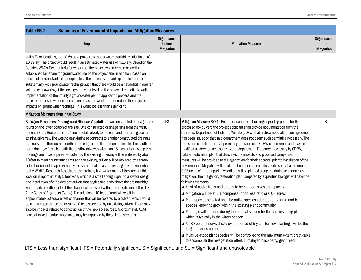| <b>Table ES-2</b><br><b>Summary of Environmental Impacts and Mitigation Measures</b>                                                                                                                                                                                                                                                                                                                                                                                                                                                                                                                                                                                                                                                                                                                                                                                                                                                                                                                                                                                                                                                                                                                                                                                                                                                                                                                                                                                                                                                                                                                                                                          |                                             |                                                                                                                                                                                                                                                                                                                                                                                                                                                                                                                                                                                                                                                                                                                                                                                                                                                                                                                                                                                                                                                                                                                                                                                                                                                                                                                                                                                                                                                                                                                                                                                                                                                                                                                                                        |                                            |
|---------------------------------------------------------------------------------------------------------------------------------------------------------------------------------------------------------------------------------------------------------------------------------------------------------------------------------------------------------------------------------------------------------------------------------------------------------------------------------------------------------------------------------------------------------------------------------------------------------------------------------------------------------------------------------------------------------------------------------------------------------------------------------------------------------------------------------------------------------------------------------------------------------------------------------------------------------------------------------------------------------------------------------------------------------------------------------------------------------------------------------------------------------------------------------------------------------------------------------------------------------------------------------------------------------------------------------------------------------------------------------------------------------------------------------------------------------------------------------------------------------------------------------------------------------------------------------------------------------------------------------------------------------------|---------------------------------------------|--------------------------------------------------------------------------------------------------------------------------------------------------------------------------------------------------------------------------------------------------------------------------------------------------------------------------------------------------------------------------------------------------------------------------------------------------------------------------------------------------------------------------------------------------------------------------------------------------------------------------------------------------------------------------------------------------------------------------------------------------------------------------------------------------------------------------------------------------------------------------------------------------------------------------------------------------------------------------------------------------------------------------------------------------------------------------------------------------------------------------------------------------------------------------------------------------------------------------------------------------------------------------------------------------------------------------------------------------------------------------------------------------------------------------------------------------------------------------------------------------------------------------------------------------------------------------------------------------------------------------------------------------------------------------------------------------------------------------------------------------------|--------------------------------------------|
| Impact                                                                                                                                                                                                                                                                                                                                                                                                                                                                                                                                                                                                                                                                                                                                                                                                                                                                                                                                                                                                                                                                                                                                                                                                                                                                                                                                                                                                                                                                                                                                                                                                                                                        | Significance<br>before<br><b>Mitigation</b> | <b>Mitigation Measure</b>                                                                                                                                                                                                                                                                                                                                                                                                                                                                                                                                                                                                                                                                                                                                                                                                                                                                                                                                                                                                                                                                                                                                                                                                                                                                                                                                                                                                                                                                                                                                                                                                                                                                                                                              | Significance<br>after<br><b>Mitigation</b> |
| Valley Floor locations, the 10.89-acre project site has a water availability calculation of<br>10.89 afy. The project would result in an estimated water use of 4.15 afy. Based on the<br>County's WAA's Tier 1 criteria for water use, the project would remain below the<br>established fair share for groundwater use on the project site. In addition, based on<br>results of the constant rate pumping test, the project is not anticipated to interfere<br>substantially with groundwater recharge such that there would be a net deficit in aquifer<br>volume or a lowering of the local groundwater level on the project site or off-site wells.<br>Implementation of the County's groundwater permit application process and the<br>project's proposed water conservation measures would further reduce the project's<br>impacts on groundwater recharge. This would be less than significant.                                                                                                                                                                                                                                                                                                                                                                                                                                                                                                                                                                                                                                                                                                                                                       |                                             |                                                                                                                                                                                                                                                                                                                                                                                                                                                                                                                                                                                                                                                                                                                                                                                                                                                                                                                                                                                                                                                                                                                                                                                                                                                                                                                                                                                                                                                                                                                                                                                                                                                                                                                                                        |                                            |
| Mitigation Measures from Initial Study                                                                                                                                                                                                                                                                                                                                                                                                                                                                                                                                                                                                                                                                                                                                                                                                                                                                                                                                                                                                                                                                                                                                                                                                                                                                                                                                                                                                                                                                                                                                                                                                                        |                                             |                                                                                                                                                                                                                                                                                                                                                                                                                                                                                                                                                                                                                                                                                                                                                                                                                                                                                                                                                                                                                                                                                                                                                                                                                                                                                                                                                                                                                                                                                                                                                                                                                                                                                                                                                        |                                            |
| Biological Resources: Drainage and Riparian Vegetation. Two constructed drainages are<br>found on the lower portion of the site. One constructed drainage runs from the west,<br>beneath State Route 29 in a 24-inch metal culvert, to the east and then alongside the<br>existing driveway. The west to east drainage connects to another constructed drainage<br>that runs from the south to north at the edge of the flat portion of the site. The south to<br>north drainage flows beneath the existing driveway within an 18-inch culvert. Along this<br>drainage are mixed riparian woodlands. The existing driveway will be widened by about<br>10-feet to meet county standards and the existing culvert will be replaced by a three-<br>sided box culvert in approximately the same location as the existing culvert. According<br>to the Wildlife Research Associates, the ordinary high water mark of the creek at this<br>location is approximately 5 feet wide, which is a small enough span to allow for design<br>and installation of a 3-sided box culvert that begins and ends above the ordinary high<br>water mark on either side of the channel which is not within the jurisdiction of the U.S.<br>Army Corps of Engineers (Corps). The additional 10 feet of road will result in<br>approximately 50 square feet of channel that will be covered by a culvert, which would<br>be a new impact since the existing 10 feet is covered by an existing culvert. There may<br>also be impacts related to construction of the new access road. Approximately 0.04<br>acres of mixed riparian woodlands may be impacted by these improvements. | PS                                          | Mitigation Measure BIO-1: Prior to issuance of a building or grading permit for the<br>proposed box culvert, the project applicant shall provide documentation from the<br>California Department of Fish and Wildlife (CDFW) that a streambed alteration agreement<br>has been issued or that said department does not deem such permitting necessary. The<br>terms and conditions of that permitting are subject to CDFW concurrence and may be<br>modified as deemed necessary by that department. If deemed necessary by CDFW, a<br>habitat restoration plan that describes the impacts and proposed compensation<br>measures will be provided to the agency(ies) for their approval prior to installation of the<br>new crossing. Mitigation will be at a 2:1 compensation to loss ratio so that a minimum of<br>0.08 acres of mixed riparian woodland will be planted along the drainage channel as<br>mitigation. The mitigation/restoration plan, prepared by a qualified biologist will have the<br>following elements:<br>▲ A list of native trees and shrubs to be planted, sizes and spacing.<br>▲ Mitigation will be at 2:1 compensation to loss ratio or 0.08 acres.<br>▲ Plant species selected shall be native species adapted to the area and be<br>species known to grow within the existing plant community.<br>▲ Plantings will be done during the optimal season for the species being planted<br>which is typically in the winter season.<br>▲ An 80 percent survival rate over a period of 5 years for new plantings will be the<br>target success criteria.<br>▲ Invasive exotic plant species will be controlled to the maximum extent practicable<br>to accomplish the revegetation effort. Himalayan blackberry, giant reed, | <b>LTS</b>                                 |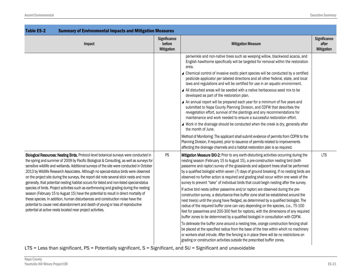| <b>Table ES-2</b><br><b>Summary of Environmental Impacts and Mitigation Measures</b>                                                                                                                                                                                                                                                                                                                                                                                                                                                                                                                                                                                                                                                                                                                                                                                                                                                                                                    |                                             |                                                                                                                                                                                                                                                                                                                                                                                                                                                                                                                                                                                                                                                                                                                                                                                                                                                                                                                                                                                                                                                                                                                                                                                                                                                                                                                                                                                                                                                             |                                            |
|-----------------------------------------------------------------------------------------------------------------------------------------------------------------------------------------------------------------------------------------------------------------------------------------------------------------------------------------------------------------------------------------------------------------------------------------------------------------------------------------------------------------------------------------------------------------------------------------------------------------------------------------------------------------------------------------------------------------------------------------------------------------------------------------------------------------------------------------------------------------------------------------------------------------------------------------------------------------------------------------|---------------------------------------------|-------------------------------------------------------------------------------------------------------------------------------------------------------------------------------------------------------------------------------------------------------------------------------------------------------------------------------------------------------------------------------------------------------------------------------------------------------------------------------------------------------------------------------------------------------------------------------------------------------------------------------------------------------------------------------------------------------------------------------------------------------------------------------------------------------------------------------------------------------------------------------------------------------------------------------------------------------------------------------------------------------------------------------------------------------------------------------------------------------------------------------------------------------------------------------------------------------------------------------------------------------------------------------------------------------------------------------------------------------------------------------------------------------------------------------------------------------------|--------------------------------------------|
| Impact                                                                                                                                                                                                                                                                                                                                                                                                                                                                                                                                                                                                                                                                                                                                                                                                                                                                                                                                                                                  | Significance<br>before<br><b>Mitigation</b> | <b>Mitigation Measure</b>                                                                                                                                                                                                                                                                                                                                                                                                                                                                                                                                                                                                                                                                                                                                                                                                                                                                                                                                                                                                                                                                                                                                                                                                                                                                                                                                                                                                                                   | Significance<br>after<br><b>Mitigation</b> |
|                                                                                                                                                                                                                                                                                                                                                                                                                                                                                                                                                                                                                                                                                                                                                                                                                                                                                                                                                                                         |                                             | periwinkle and non-native trees such as weeping willow, blackwood acacia, and<br>English hawthorne specifically will be targeted for removal within the restoration<br>area.<br>Chemical control of invasive exotic plant species will be conducted by a certified<br>pesticide applicator per labeled directions and all other federal, state, and local<br>laws and regulations and will be certified for use in an aquatic environment.<br>▲ All disturbed areas will be seeded with a native herbaceous seed mix to be<br>developed as part of the restoration plan.<br>▲ An annual report will be prepared each year for a minimum of five years and<br>submitted to Napa County Planning Division, and CDFW that describes the<br>revegetation effort, survival of the plantings and any recommendations for<br>maintenance and work needed to ensure a successful restoration effort.                                                                                                                                                                                                                                                                                                                                                                                                                                                                                                                                                                |                                            |
|                                                                                                                                                                                                                                                                                                                                                                                                                                                                                                                                                                                                                                                                                                                                                                                                                                                                                                                                                                                         |                                             | ▲ Work in the drainage should be conducted when the creek is dry, generally after<br>the month of June.<br>Method of Monitoring: The applicant shall submit evidence of permits from CDFW to the<br>Planning Division, if required, prior to issuance of permits related to improvements<br>affecting the drainage channels and a habitat restoration plan is so required.                                                                                                                                                                                                                                                                                                                                                                                                                                                                                                                                                                                                                                                                                                                                                                                                                                                                                                                                                                                                                                                                                  |                                            |
| Biological Resources: Nesting Birds. Protocol level botanical surveys were conducted in<br>the spring and summer of 2009 by Pacific Biological & Consulting, as well as surveys for<br>sensitive wildlife and wetlands. Additional surveys of the site were conducted in October<br>2013 by Wildlife Research Associates. Although no special-status birds were observed<br>on the project site during the surveys, the report did note several stick nests and more<br>generally, that potential nesting habitat occurs for listed and non-listed special-status<br>species of birds. Project activities such as earthmoving and grading during the nesting<br>season (February 15 to August 15) have the potential to result in direct mortality of<br>these species. In addition, human disturbances and construction noise have the<br>potential to cause nest abandonment and death of young or loss of reproductive<br>potential at active nests located near project activities. | PS                                          | Mitigation Measure BIO-2: Prior to any earth-disturbing activities occurring during the<br>nesting season (February 15 to August 15), a pre-construction nesting bird (both<br>passerine and raptor) survey of the grasslands and adjacent trees shall be performed<br>by a qualified biologist within seven (7) days of ground breaking. If no nesting birds are<br>observed no further action is required and grading shall occur within one week of the<br>survey to prevent "take" of individual birds that could begin nesting after the survey.<br>If active bird nests (either passerine and/or raptor) are observed during the pre-<br>construction survey, a disturbance-free buffer zone shall be established around the<br>nest tree(s) until the young have fledged, as determined by a qualified biologist. The<br>radius of the required buffer zone can vary depending on the species, (i.e., 75-100<br>feet for passerines and 200-300 feet for raptors), with the dimensions of any required<br>buffer zones to be determined by a qualified biologist in consultation with CDFW.<br>To delineate the buffer zone around a nesting tree, orange construction fencing shall<br>be placed at the specified radius from the base of the tree within which no machinery<br>or workers shall intrude. After the fencing is in place there will be no restrictions on<br>grading or construction activities outside the prescribed buffer zones. | <b>LTS</b>                                 |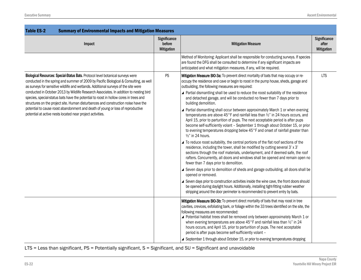| <b>Table ES-2</b><br><b>Summary of Environmental Impacts and Mitigation Measures</b>                                                                                                                                                                                                                                                                                                                                                                                                                                                                                                                                                                                                        |                                      |                                                                                                                                                                                                                                                                                                                                                                                                                                                                                                                                                                                                                                                                                                                                                                                                                                                                                                                                                                                                                                                                                                                                                                                                                                                                                                                                                                                                                                                                                                                                                                                                                                                                   |                                            |  |
|---------------------------------------------------------------------------------------------------------------------------------------------------------------------------------------------------------------------------------------------------------------------------------------------------------------------------------------------------------------------------------------------------------------------------------------------------------------------------------------------------------------------------------------------------------------------------------------------------------------------------------------------------------------------------------------------|--------------------------------------|-------------------------------------------------------------------------------------------------------------------------------------------------------------------------------------------------------------------------------------------------------------------------------------------------------------------------------------------------------------------------------------------------------------------------------------------------------------------------------------------------------------------------------------------------------------------------------------------------------------------------------------------------------------------------------------------------------------------------------------------------------------------------------------------------------------------------------------------------------------------------------------------------------------------------------------------------------------------------------------------------------------------------------------------------------------------------------------------------------------------------------------------------------------------------------------------------------------------------------------------------------------------------------------------------------------------------------------------------------------------------------------------------------------------------------------------------------------------------------------------------------------------------------------------------------------------------------------------------------------------------------------------------------------------|--------------------------------------------|--|
| Impact                                                                                                                                                                                                                                                                                                                                                                                                                                                                                                                                                                                                                                                                                      | Significance<br>before<br>Mitigation | <b>Mitigation Measure</b>                                                                                                                                                                                                                                                                                                                                                                                                                                                                                                                                                                                                                                                                                                                                                                                                                                                                                                                                                                                                                                                                                                                                                                                                                                                                                                                                                                                                                                                                                                                                                                                                                                         | Significance<br>after<br><b>Mitigation</b> |  |
|                                                                                                                                                                                                                                                                                                                                                                                                                                                                                                                                                                                                                                                                                             |                                      | Method of Monitoring: Applicant shall be responsible for conducting surveys. If species<br>are found the DFG shall be consulted to determine if any significant impacts are<br>anticipated and what mitigation measures, if any, will be required.                                                                                                                                                                                                                                                                                                                                                                                                                                                                                                                                                                                                                                                                                                                                                                                                                                                                                                                                                                                                                                                                                                                                                                                                                                                                                                                                                                                                                |                                            |  |
| Biological Resources: Special-Status Bats. Protocol level botanical surveys were<br>conducted in the spring and summer of 2009 by Pacific Biological & Consulting, as well<br>as surveys for sensitive wildlife and wetlands. Additional surveys of the site were<br>conducted in October 2013 by Wildlife Research Associates. In addition to nesting bird<br>species, special-status bats have the potential to roost in hollow cores in trees and<br>structures on the project site. Human disturbances and construction noise have the<br>potential to cause roost abandonment and death of young or loss of reproductive<br>potential at active nests located near project activities. | PS                                   | Mitigation Measure BIO-3a: To prevent direct mortality of bats that may occupy or re-<br>occupy the residence and cave or begin to roost in the pump house, sheds, garage and<br>outbuilding, the following measures are required:<br>▲ Partial dismantling shall be used to reduce the roost suitability of the residence<br>and detached garage, and will be conducted no fewer than 7 days prior to<br>building demolition.<br>▲ Partial dismantling shall occur between approximately March 1 or when evening<br>temperatures are above 45°F and rainfall less than 1/2" in 24 hours occurs, and<br>April 15, prior to parturition of pups. The next acceptable period is after pups<br>become self-sufficiently volant - September 1 through about October 15, or prior<br>to evening temperatures dropping below 45°F and onset of rainfall greater than<br>1/2" in 24 hours.<br>▲ To reduce roost suitability, the central portions of the flat roof sections of the<br>residence, including the tower, shall be modified by cutting several 3' x 3'<br>sections through the roof materials, underlayment, and if deemed safe, the roof<br>rafters. Concurrently, all doors and windows shall be opened and remain open no<br>fewer than 7 days prior to demolition.<br>▲ Seven days prior to demolition of sheds and garage outbuilding, all doors shall be<br>opened or removed.<br>▲ Seven days prior to construction activities inside the wine cave, the front doors should<br>be opened during daylight hours. Additionally, installing tight-fitting rubber weather<br>stripping around the door perimeter is recommended to prevent entry by bats. | <b>LTS</b>                                 |  |
|                                                                                                                                                                                                                                                                                                                                                                                                                                                                                                                                                                                                                                                                                             |                                      | Mitigation Measure BIO-3b: To prevent direct mortality of bats that may roost in tree<br>cavities, crevices, exfoliating bark, or foliage within the 33 trees identified on the site, the<br>following measures are recommended:<br>▲ Potential habitat trees shall be removed only between approximately March 1 or<br>when evening temperatures are above 45°F and rainfall less than 1/2" in 24<br>hours occurs, and April 15, prior to parturition of pups. The next acceptable<br>period is after pups become self-sufficiently volant -<br>▲ September 1 through about October 15, or prior to evening temperatures dropping                                                                                                                                                                                                                                                                                                                                                                                                                                                                                                                                                                                                                                                                                                                                                                                                                                                                                                                                                                                                                                |                                            |  |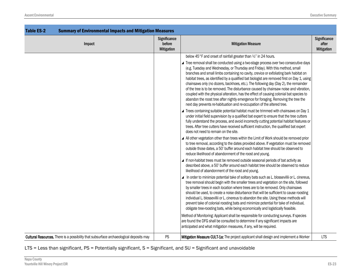| <b>Table ES-2</b><br><b>Summary of Environmental Impacts and Mitigation Measures</b>   |                                                    |                                                                                                                                                                                                                                                                                                                                                                                                                                                                                                                                                                                                                                                                                                                    |                                                   |
|----------------------------------------------------------------------------------------|----------------------------------------------------|--------------------------------------------------------------------------------------------------------------------------------------------------------------------------------------------------------------------------------------------------------------------------------------------------------------------------------------------------------------------------------------------------------------------------------------------------------------------------------------------------------------------------------------------------------------------------------------------------------------------------------------------------------------------------------------------------------------------|---------------------------------------------------|
| Impact                                                                                 | <b>Significance</b><br>before<br><b>Mitigation</b> | <b>Mitigation Measure</b>                                                                                                                                                                                                                                                                                                                                                                                                                                                                                                                                                                                                                                                                                          | <b>Significance</b><br>after<br><b>Mitigation</b> |
|                                                                                        |                                                    | below 45°F and onset of rainfall greater than 1/2" in 24 hours.<br>▲ Tree removal shall be conducted using a two-stage process over two consecutive days                                                                                                                                                                                                                                                                                                                                                                                                                                                                                                                                                           |                                                   |
|                                                                                        |                                                    | (e.g. Tuesday and Wednesday, or Thursday and Friday). With this method, small<br>branches and small limbs containing no cavity, crevice or exfoliating bark habitat on<br>habitat trees, as identified by a qualified bat biologist are removed first on Day 1, using<br>chainsaws only (no dozers, backhoes, etc.). The following day (Day 2), the remainder<br>of the tree is to be removed. The disturbance caused by chainsaw noise and vibration,<br>coupled with the physical alteration, has the effect of causing colonial bat species to<br>abandon the roost tree after nightly emergence for foraging. Removing the tree the<br>next day prevents re-habituation and re-occupation of the altered tree. |                                                   |
|                                                                                        |                                                    | ▲ Trees containing suitable potential habitat must be trimmed with chainsaws on Day 1<br>under initial field supervision by a qualified bat expert to ensure that the tree cutters<br>fully understand the process, and avoid incorrectly cutting potential habitat features or<br>trees. After tree cutters have received sufficient instruction, the qualified bat expert<br>does not need to remain on the site.                                                                                                                                                                                                                                                                                                |                                                   |
|                                                                                        |                                                    | ▲ All other vegetation other than trees within the Limit of Work should be removed prior<br>to tree removal, according to the dates provided above. If vegetation must be removed<br>outside those dates, a 50' buffer around each habitat tree should be observed to<br>reduce likelihood of abandonment of the roost and young.                                                                                                                                                                                                                                                                                                                                                                                  |                                                   |
|                                                                                        |                                                    | ▲ If non-habitat trees must be removed outside seasonal periods of bat activity as<br>described above, a 50' buffer around each habitat tree should be observed to reduce<br>likelihood of abandonment of the roost and young.                                                                                                                                                                                                                                                                                                                                                                                                                                                                                     |                                                   |
|                                                                                        |                                                    | In order to minimize potential take of solitary bats such as L. blossevillii or L. cinereus,<br>tree removal should begin with the smaller trees and vegetation on the site, followed<br>by smaller trees in each location where trees are to be removed. Only chainsaws<br>should be used, to create a noise disturbance that will be sufficient to cause roosting<br>individual L. blossevillii or L. cinereus to abandon the site. Using these methods will<br>prevent take of colonial roosting bats and minimize potential for take of individual,<br>obligate tree-roosting bats, while being economically and logistically feasible.                                                                        |                                                   |
|                                                                                        |                                                    | Method of Monitoring: Applicant shall be responsible for conducting surveys. If species<br>are found the DFG shall be consulted to determine if any significant impacts are<br>anticipated and what mitigation measures, if any, will be required.                                                                                                                                                                                                                                                                                                                                                                                                                                                                 |                                                   |
| Cultural Resources. There is a possibility that subsurface archaeological deposits may | PS                                                 | Mitigation Measure CULT-1a: The project applicant shall design and implement a Worker                                                                                                                                                                                                                                                                                                                                                                                                                                                                                                                                                                                                                              | <b>LTS</b>                                        |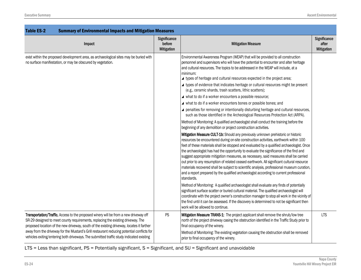| <b>Table ES-2</b><br><b>Summary of Environmental Impacts and Mitigation Measures</b>                                                                                                                                                                                                                                                                                                                                                                             |                                             |                                                                                                                                                                                                                                                                                                                                                                                                                                                                                                                                                                                                                                                                                                                                                                                                                                                                                                                                                                                                                                                                                                                                                                                                                                                                                                                                                                                                                                                                                                                                                                                                                                                                                                                                                                                                                                                                                                                                                                                                                                                                                                                                                                                |                                     |
|------------------------------------------------------------------------------------------------------------------------------------------------------------------------------------------------------------------------------------------------------------------------------------------------------------------------------------------------------------------------------------------------------------------------------------------------------------------|---------------------------------------------|--------------------------------------------------------------------------------------------------------------------------------------------------------------------------------------------------------------------------------------------------------------------------------------------------------------------------------------------------------------------------------------------------------------------------------------------------------------------------------------------------------------------------------------------------------------------------------------------------------------------------------------------------------------------------------------------------------------------------------------------------------------------------------------------------------------------------------------------------------------------------------------------------------------------------------------------------------------------------------------------------------------------------------------------------------------------------------------------------------------------------------------------------------------------------------------------------------------------------------------------------------------------------------------------------------------------------------------------------------------------------------------------------------------------------------------------------------------------------------------------------------------------------------------------------------------------------------------------------------------------------------------------------------------------------------------------------------------------------------------------------------------------------------------------------------------------------------------------------------------------------------------------------------------------------------------------------------------------------------------------------------------------------------------------------------------------------------------------------------------------------------------------------------------------------------|-------------------------------------|
| Impact                                                                                                                                                                                                                                                                                                                                                                                                                                                           | Significance<br>before<br><b>Mitigation</b> | <b>Mitigation Measure</b>                                                                                                                                                                                                                                                                                                                                                                                                                                                                                                                                                                                                                                                                                                                                                                                                                                                                                                                                                                                                                                                                                                                                                                                                                                                                                                                                                                                                                                                                                                                                                                                                                                                                                                                                                                                                                                                                                                                                                                                                                                                                                                                                                      | Significance<br>after<br>Mitigation |
| exist within the proposed development area, as archaeological sites may be buried with<br>no surface manifestation, or may be obscured by vegetation.                                                                                                                                                                                                                                                                                                            |                                             | Environmental Awareness Program (WEAP) that will be provided to all construction<br>personnel and supervisors who will have the potential to encounter and alter heritage<br>and cultural resources. The topics to be addressed in the WEAP will include, at a<br>minimum:<br>▲ types of heritage and cultural resources expected in the project area;<br>▲ types of evidence that indicates heritage or cultural resources might be present<br>(e.g., ceramic shards, trash scatters, lithic scatters);<br>▲ what to do if a worker encounters a possible resource;<br>▲ what to do if a worker encounters bones or possible bones; and<br>▲ penalties for removing or intentionally disturbing heritage and cultural resources,<br>such as those identified in the Archeological Resources Protection Act (ARPA).<br>Method of Monitoring: A qualified archaeologist shall conduct the training before the<br>beginning of any demolition or project construction activities.<br>Mitigation Measure CULT-1b: Should any previously unknown prehistoric or historic<br>resources be encountered during on-site construction activities, earthwork within 100<br>feet of these materials shall be stopped and evaluated by a qualified archaeologist. Once<br>the archaeologist has had the opportunity to evaluate the significance of the find and<br>suggest appropriate mitigation measures, as necessary, said measures shall be carried<br>out prior to any resumption of related ceased earthwork. All significant cultural resource<br>materials recovered shall be subject to scientific analysis, professional museum curation,<br>and a report prepared by the qualified archaeologist according to current professional<br>standards.<br>Method of Monitoring: A qualified archaeologist shall evaluate any finds of potentially<br>significant surface scatter or buried cultural material. The qualified archaeologist will<br>coordinate with the project owner's construction manager to stop all work in the vicinity of<br>the find until it can be assessed. If the discovery is determined to not be significant then<br>work will be allowed to continue. |                                     |
| Transportation/Traffic. Access to the proposed winery will be from a new driveway off<br>SR-29 designed to meet county requirements, replacing the existing driveway. The<br>proposed location of the new driveway, south of the existing driveway, locates it farther<br>away from the driveway for the Mustard's Grill restaurant reducing potential conflicts for<br>vehicles exiting/entering both driveways. The submitted traffic study indicated existing | PS                                          | Mitigation Measure TRANS-1: The project applicant shall remove the shrub/low tree<br>north of the project driveway casing the obstruction identified in the Traffic Study prior to<br>final occupancy of the winery.<br>Method of Monitoring: The existing vegetation causing the obstruction shall be removed<br>prior to final occupancy of the winery.                                                                                                                                                                                                                                                                                                                                                                                                                                                                                                                                                                                                                                                                                                                                                                                                                                                                                                                                                                                                                                                                                                                                                                                                                                                                                                                                                                                                                                                                                                                                                                                                                                                                                                                                                                                                                      | <b>LTS</b>                          |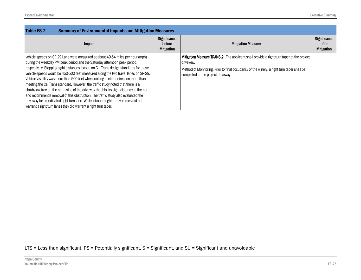| <b>Summary of Environmental Impacts and Mitigation Measures</b><br><b>Table ES-2</b>                                                                                                                                                                                                                                                                                                                                                                                                                                                                                                                                                                                                                                                                                                                                                                            |                                             |                                                                                                                                                                                                                                           |                                            |
|-----------------------------------------------------------------------------------------------------------------------------------------------------------------------------------------------------------------------------------------------------------------------------------------------------------------------------------------------------------------------------------------------------------------------------------------------------------------------------------------------------------------------------------------------------------------------------------------------------------------------------------------------------------------------------------------------------------------------------------------------------------------------------------------------------------------------------------------------------------------|---------------------------------------------|-------------------------------------------------------------------------------------------------------------------------------------------------------------------------------------------------------------------------------------------|--------------------------------------------|
| Impact                                                                                                                                                                                                                                                                                                                                                                                                                                                                                                                                                                                                                                                                                                                                                                                                                                                          | Significance<br>before<br><b>Mitigation</b> | <b>Mitigation Measure</b>                                                                                                                                                                                                                 | Significance<br>after<br><b>Mitigation</b> |
| vehicle speeds on SR 29 Lane were measured at about 49-54 miles per hour (mph)<br>during the weekday PM peak period and the Saturday afternoon peak period,<br>respectively. Stopping sight distances, based on Cal Trans design standards for these<br>vehicle speeds would be 450-500 feet measured along the two travel lanes on SR-29.<br>Vehicle visibility was more than 500 feet when looking in either direction more than<br>meeting the Cal Trans standard. However, the traffic study noted that there is a<br>shrub/low tree on the north side of the driveway that blocks sight distance to the north<br>and recommends removal of this obstruction. The traffic study also evaluated the<br>driveway for a dedicated right turn lane. While inbound right turn volumes did not<br>warrant a right turn lanes they did warrant a right turn taper. |                                             | Mitigation Measure TRANS-2: The applicant shall provide a right turn taper at the project<br>driveway.<br>Method of Monitoring: Prior to final occupancy of the winery, a right turn taper shall be<br>completed at the project driveway. |                                            |